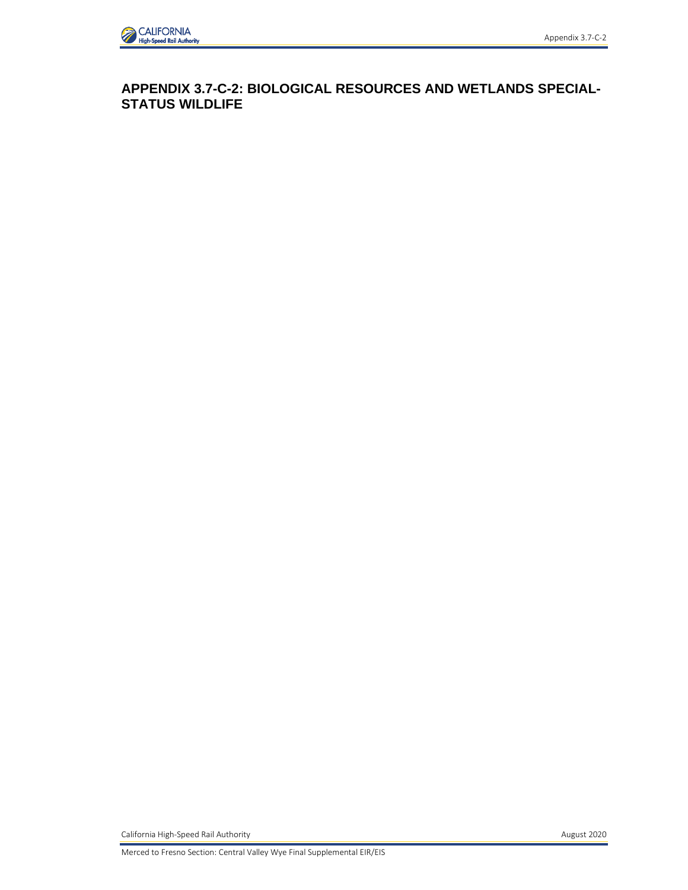

**APPENDIX 3.7-C-2: BIOLOGICAL RESOURCES AND WETLANDS SPECIAL-STATUS WILDLIFE** 

California High-Speed Rail Authority **August 2020 August 2020** 

Merced to Fresno Section: Central Valley Wye Final Supplemental EIR/EIS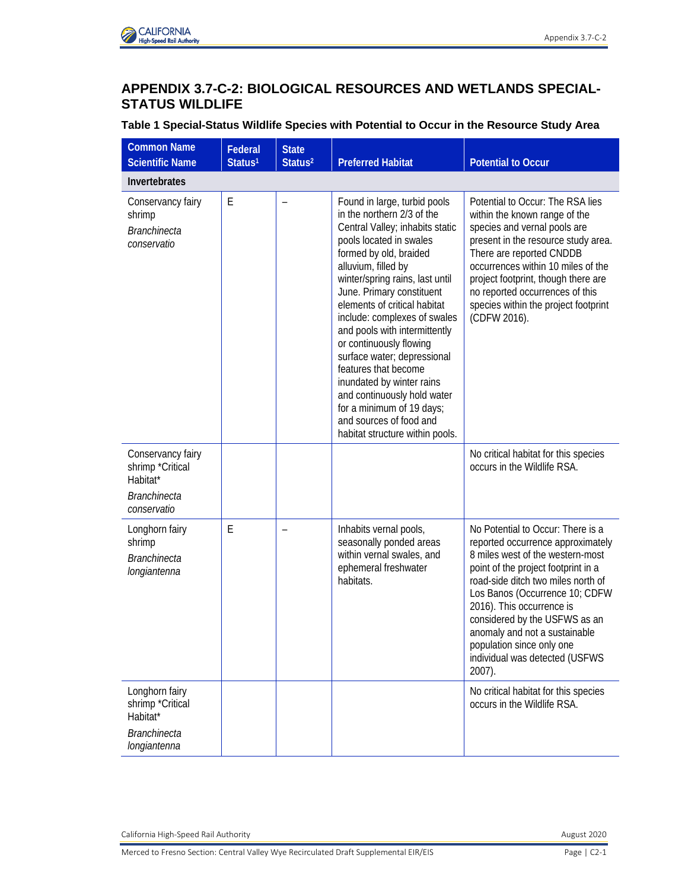

## **APPENDIX 3.7-C-2: BIOLOGICAL RESOURCES AND WETLANDS SPECIAL-STATUS WILDLIFE**

## **Table 1 Special-Status Wildlife Species with Potential to Occur in the Resource Study Area**

| <b>Common Name</b><br><b>Scientific Name</b>                                            | Federal<br>Status <sup>1</sup> | <b>State</b><br>Status <sup>2</sup> | <b>Preferred Habitat</b>                                                                                                                                                                                                                                                                                                                                                                                                                                                                                                                                                            | <b>Potential to Occur</b>                                                                                                                                                                                                                                                                                                                                                                         |
|-----------------------------------------------------------------------------------------|--------------------------------|-------------------------------------|-------------------------------------------------------------------------------------------------------------------------------------------------------------------------------------------------------------------------------------------------------------------------------------------------------------------------------------------------------------------------------------------------------------------------------------------------------------------------------------------------------------------------------------------------------------------------------------|---------------------------------------------------------------------------------------------------------------------------------------------------------------------------------------------------------------------------------------------------------------------------------------------------------------------------------------------------------------------------------------------------|
| Invertebrates                                                                           |                                |                                     |                                                                                                                                                                                                                                                                                                                                                                                                                                                                                                                                                                                     |                                                                                                                                                                                                                                                                                                                                                                                                   |
| Conservancy fairy<br>shrimp<br><b>Branchinecta</b><br>conservatio                       | E                              | $\overline{\phantom{0}}$            | Found in large, turbid pools<br>in the northern 2/3 of the<br>Central Valley; inhabits static<br>pools located in swales<br>formed by old, braided<br>alluvium, filled by<br>winter/spring rains, last until<br>June. Primary constituent<br>elements of critical habitat<br>include: complexes of swales<br>and pools with intermittently<br>or continuously flowing<br>surface water; depressional<br>features that become<br>inundated by winter rains<br>and continuously hold water<br>for a minimum of 19 days;<br>and sources of food and<br>habitat structure within pools. | Potential to Occur: The RSA lies<br>within the known range of the<br>species and vernal pools are<br>present in the resource study area.<br>There are reported CNDDB<br>occurrences within 10 miles of the<br>project footprint, though there are<br>no reported occurrences of this<br>species within the project footprint<br>(CDFW 2016).                                                      |
| Conservancy fairy<br>shrimp *Critical<br>Habitat*<br><b>Branchinecta</b><br>conservatio |                                |                                     |                                                                                                                                                                                                                                                                                                                                                                                                                                                                                                                                                                                     | No critical habitat for this species<br>occurs in the Wildlife RSA.                                                                                                                                                                                                                                                                                                                               |
| Longhorn fairy<br>shrimp<br><b>Branchinecta</b><br>longiantenna                         | E                              |                                     | Inhabits vernal pools,<br>seasonally ponded areas<br>within vernal swales, and<br>ephemeral freshwater<br>habitats.                                                                                                                                                                                                                                                                                                                                                                                                                                                                 | No Potential to Occur: There is a<br>reported occurrence approximately<br>8 miles west of the western-most<br>point of the project footprint in a<br>road-side ditch two miles north of<br>Los Banos (Occurrence 10; CDFW<br>2016). This occurrence is<br>considered by the USFWS as an<br>anomaly and not a sustainable<br>population since only one<br>individual was detected (USFWS<br>2007). |
| Longhorn fairy<br>shrimp *Critical<br>Habitat*<br><b>Branchinecta</b><br>longiantenna   |                                |                                     |                                                                                                                                                                                                                                                                                                                                                                                                                                                                                                                                                                                     | No critical habitat for this species<br>occurs in the Wildlife RSA.                                                                                                                                                                                                                                                                                                                               |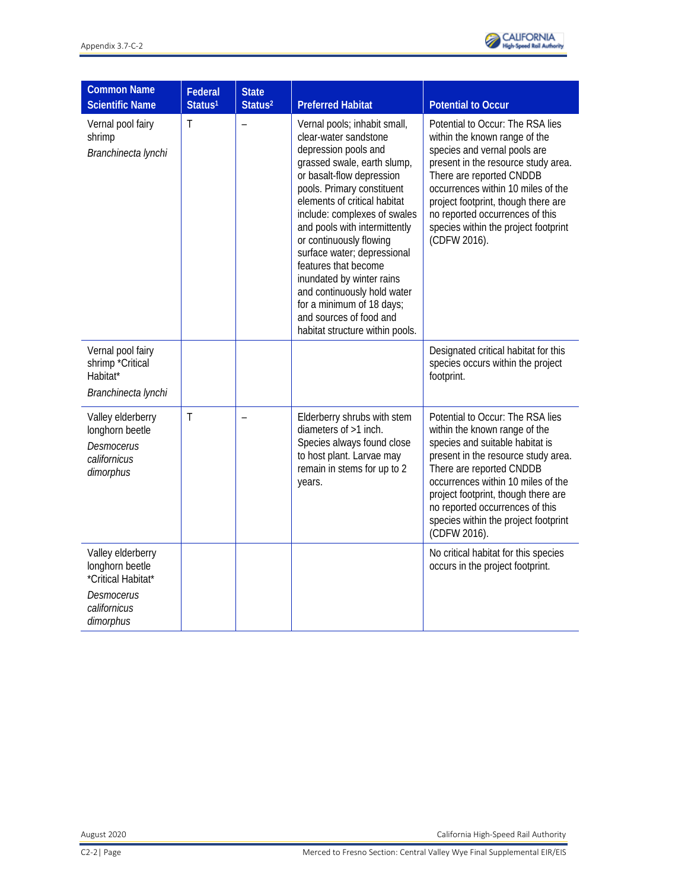| <b>Common Name</b><br><b>Scientific Name</b>                                             | Federal<br>Status <sup>1</sup> | <b>State</b><br>Status <sup>2</sup> | <b>Preferred Habitat</b>                                                                                                                                                                                                                                                                                                                                                                                                                                                                                          | <b>Potential to Occur</b>                                                                                                                                                                                                                                                                                                                       |
|------------------------------------------------------------------------------------------|--------------------------------|-------------------------------------|-------------------------------------------------------------------------------------------------------------------------------------------------------------------------------------------------------------------------------------------------------------------------------------------------------------------------------------------------------------------------------------------------------------------------------------------------------------------------------------------------------------------|-------------------------------------------------------------------------------------------------------------------------------------------------------------------------------------------------------------------------------------------------------------------------------------------------------------------------------------------------|
| Vernal pool fairy<br>shrimp<br>Branchinecta lynchi                                       | T                              |                                     | Vernal pools; inhabit small,<br>clear-water sandstone<br>depression pools and<br>grassed swale, earth slump,<br>or basalt-flow depression<br>pools. Primary constituent<br>elements of critical habitat<br>include: complexes of swales<br>and pools with intermittently<br>or continuously flowing<br>surface water; depressional<br>features that become<br>inundated by winter rains<br>and continuously hold water<br>for a minimum of 18 days;<br>and sources of food and<br>habitat structure within pools. | Potential to Occur: The RSA lies<br>within the known range of the<br>species and vernal pools are<br>present in the resource study area.<br>There are reported CNDDB<br>occurrences within 10 miles of the<br>project footprint, though there are<br>no reported occurrences of this<br>species within the project footprint<br>(CDFW 2016).    |
| Vernal pool fairy<br>shrimp *Critical<br>Habitat*<br>Branchinecta lynchi                 |                                |                                     |                                                                                                                                                                                                                                                                                                                                                                                                                                                                                                                   | Designated critical habitat for this<br>species occurs within the project<br>footprint.                                                                                                                                                                                                                                                         |
| Valley elderberry<br>longhorn beetle<br>Desmocerus<br>californicus<br>dimorphus          | $\mathsf{T}$                   |                                     | Elderberry shrubs with stem<br>diameters of $>1$ inch.<br>Species always found close<br>to host plant. Larvae may<br>remain in stems for up to 2<br>years.                                                                                                                                                                                                                                                                                                                                                        | Potential to Occur: The RSA lies<br>within the known range of the<br>species and suitable habitat is<br>present in the resource study area.<br>There are reported CNDDB<br>occurrences within 10 miles of the<br>project footprint, though there are<br>no reported occurrences of this<br>species within the project footprint<br>(CDFW 2016). |
| Valley elderberry<br>longhorn beetle<br>*Critical Habitat*<br>Desmocerus<br>californicus |                                |                                     |                                                                                                                                                                                                                                                                                                                                                                                                                                                                                                                   | No critical habitat for this species<br>occurs in the project footprint.                                                                                                                                                                                                                                                                        |
| dimorphus                                                                                |                                |                                     |                                                                                                                                                                                                                                                                                                                                                                                                                                                                                                                   |                                                                                                                                                                                                                                                                                                                                                 |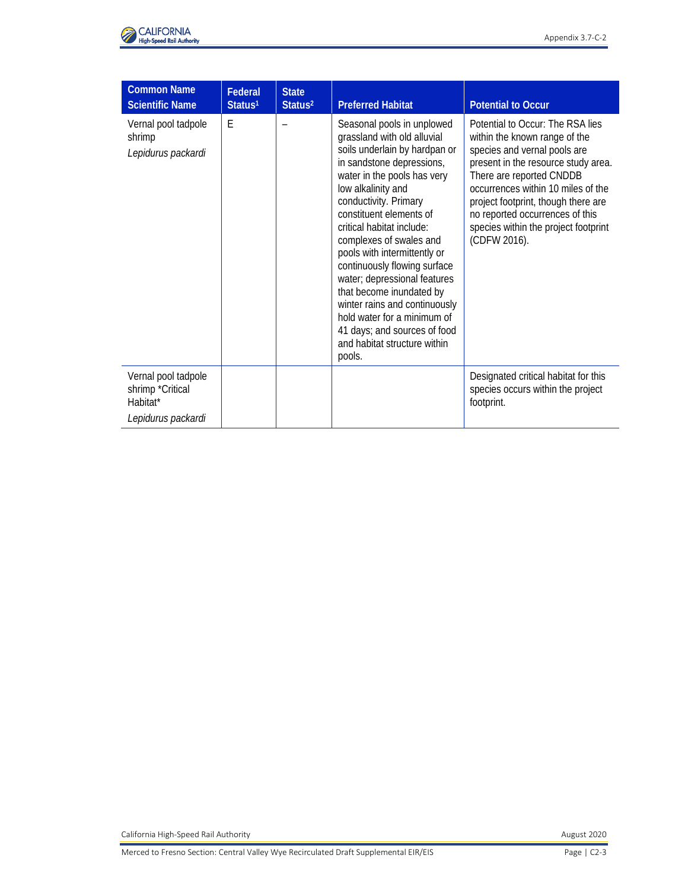

| <b>Common Name</b><br><b>Scientific Name</b>                              | <b>Federal</b><br>Status <sup>1</sup> | <b>State</b><br>Status <sup>2</sup> | <b>Preferred Habitat</b>                                                                                                                                                                                                                                                                                                                                                                                                                                                                                                                                       | <b>Potential to Occur</b>                                                                                                                                                                                                                                                                                                                    |
|---------------------------------------------------------------------------|---------------------------------------|-------------------------------------|----------------------------------------------------------------------------------------------------------------------------------------------------------------------------------------------------------------------------------------------------------------------------------------------------------------------------------------------------------------------------------------------------------------------------------------------------------------------------------------------------------------------------------------------------------------|----------------------------------------------------------------------------------------------------------------------------------------------------------------------------------------------------------------------------------------------------------------------------------------------------------------------------------------------|
| Vernal pool tadpole<br>shrimp<br>Lepidurus packardi                       | E                                     |                                     | Seasonal pools in unplowed<br>grassland with old alluvial<br>soils underlain by hardpan or<br>in sandstone depressions,<br>water in the pools has very<br>low alkalinity and<br>conductivity. Primary<br>constituent elements of<br>critical habitat include:<br>complexes of swales and<br>pools with intermittently or<br>continuously flowing surface<br>water; depressional features<br>that become inundated by<br>winter rains and continuously<br>hold water for a minimum of<br>41 days; and sources of food<br>and habitat structure within<br>pools. | Potential to Occur: The RSA lies<br>within the known range of the<br>species and vernal pools are<br>present in the resource study area.<br>There are reported CNDDB<br>occurrences within 10 miles of the<br>project footprint, though there are<br>no reported occurrences of this<br>species within the project footprint<br>(CDFW 2016). |
| Vernal pool tadpole<br>shrimp *Critical<br>Habitat*<br>Lepidurus packardi |                                       |                                     |                                                                                                                                                                                                                                                                                                                                                                                                                                                                                                                                                                | Designated critical habitat for this<br>species occurs within the project<br>footprint.                                                                                                                                                                                                                                                      |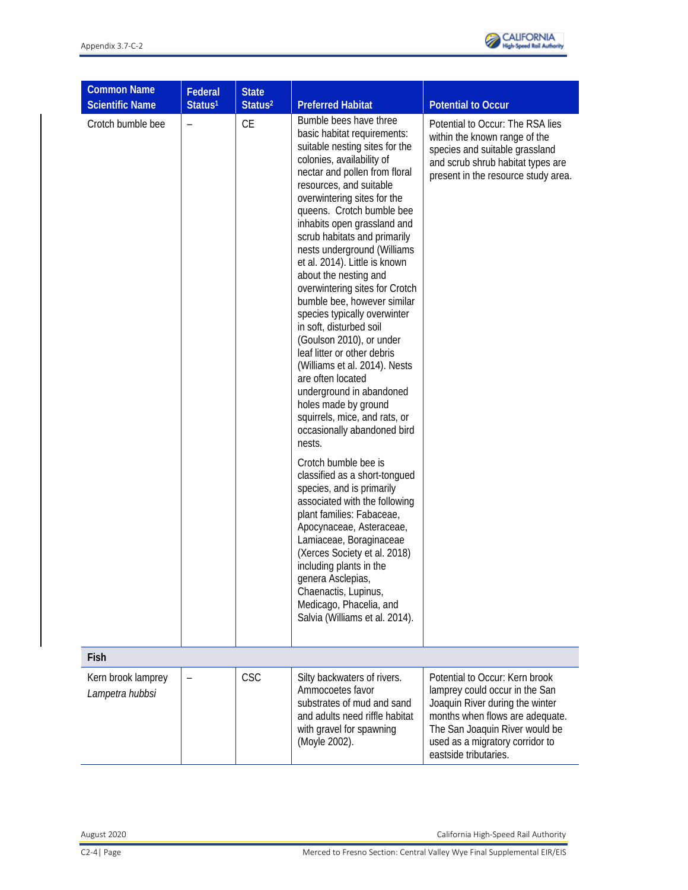

| <b>Common Name</b><br><b>Scientific Name</b> | Federal<br>Status <sup>1</sup> | <b>State</b><br>Status <sup>2</sup> | <b>Preferred Habitat</b>                                                                                                                                                                                                                                                                                                                                                                                                                                                                                                                                                                                                                                                                                                                                                                                                                                                                                                                                                                                                                                                                                                                                        | <b>Potential to Occur</b>                                                                                                                                                                                                            |
|----------------------------------------------|--------------------------------|-------------------------------------|-----------------------------------------------------------------------------------------------------------------------------------------------------------------------------------------------------------------------------------------------------------------------------------------------------------------------------------------------------------------------------------------------------------------------------------------------------------------------------------------------------------------------------------------------------------------------------------------------------------------------------------------------------------------------------------------------------------------------------------------------------------------------------------------------------------------------------------------------------------------------------------------------------------------------------------------------------------------------------------------------------------------------------------------------------------------------------------------------------------------------------------------------------------------|--------------------------------------------------------------------------------------------------------------------------------------------------------------------------------------------------------------------------------------|
| Crotch bumble bee                            |                                | <b>CE</b>                           | Bumble bees have three<br>basic habitat requirements:<br>suitable nesting sites for the<br>colonies, availability of<br>nectar and pollen from floral<br>resources, and suitable<br>overwintering sites for the<br>queens. Crotch bumble bee<br>inhabits open grassland and<br>scrub habitats and primarily<br>nests underground (Williams<br>et al. 2014). Little is known<br>about the nesting and<br>overwintering sites for Crotch<br>bumble bee, however similar<br>species typically overwinter<br>in soft, disturbed soil<br>(Goulson 2010), or under<br>leaf litter or other debris<br>(Williams et al. 2014). Nests<br>are often located<br>underground in abandoned<br>holes made by ground<br>squirrels, mice, and rats, or<br>occasionally abandoned bird<br>nests.<br>Crotch bumble bee is<br>classified as a short-tongued<br>species, and is primarily<br>associated with the following<br>plant families: Fabaceae,<br>Apocynaceae, Asteraceae,<br>Lamiaceae, Boraginaceae<br>(Xerces Society et al. 2018)<br>including plants in the<br>genera Asclepias,<br>Chaenactis, Lupinus,<br>Medicago, Phacelia, and<br>Salvia (Williams et al. 2014). | Potential to Occur: The RSA lies<br>within the known range of the<br>species and suitable grassland<br>and scrub shrub habitat types are<br>present in the resource study area.                                                      |
| Fish                                         |                                |                                     |                                                                                                                                                                                                                                                                                                                                                                                                                                                                                                                                                                                                                                                                                                                                                                                                                                                                                                                                                                                                                                                                                                                                                                 |                                                                                                                                                                                                                                      |
| Kern brook lamprey<br>Lampetra hubbsi        |                                | <b>CSC</b>                          | Silty backwaters of rivers.<br>Ammocoetes favor<br>substrates of mud and sand<br>and adults need riffle habitat<br>with gravel for spawning<br>(Moyle 2002).                                                                                                                                                                                                                                                                                                                                                                                                                                                                                                                                                                                                                                                                                                                                                                                                                                                                                                                                                                                                    | Potential to Occur: Kern brook<br>lamprey could occur in the San<br>Joaquin River during the winter<br>months when flows are adequate.<br>The San Joaquin River would be<br>used as a migratory corridor to<br>eastside tributaries. |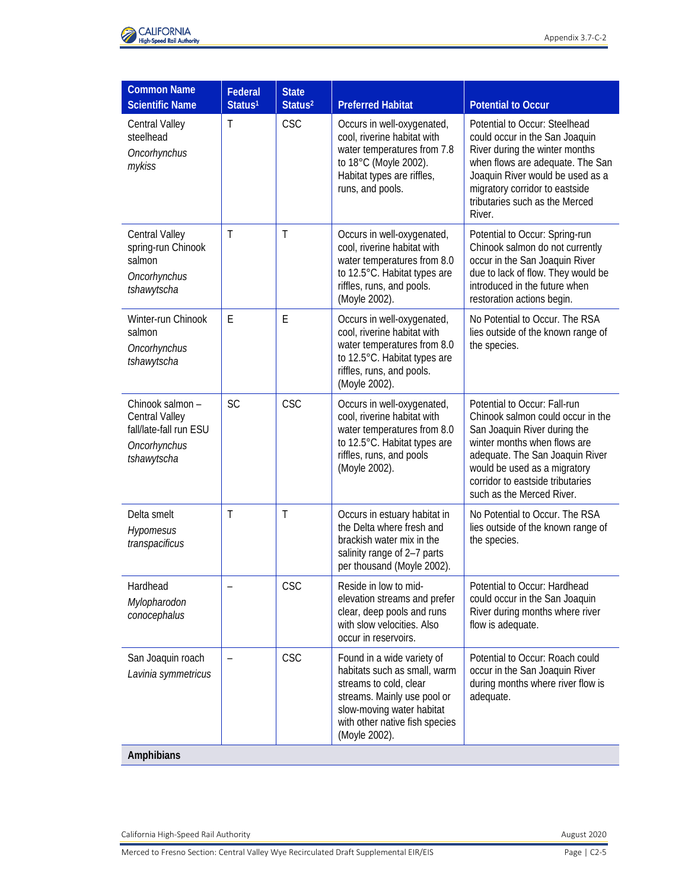

| <b>Common Name</b><br><b>Scientific Name</b>                                               | <b>Federal</b>           | <b>State</b>               | <b>Preferred Habitat</b>                                                                                                                                                                            |                                                                                                                                                                                                                                                                                      |
|--------------------------------------------------------------------------------------------|--------------------------|----------------------------|-----------------------------------------------------------------------------------------------------------------------------------------------------------------------------------------------------|--------------------------------------------------------------------------------------------------------------------------------------------------------------------------------------------------------------------------------------------------------------------------------------|
| <b>Central Valley</b><br>steelhead<br>Oncorhynchus<br>mykiss                               | Status <sup>1</sup><br>Τ | Status <sup>2</sup><br>CSC | Occurs in well-oxygenated,<br>cool, riverine habitat with<br>water temperatures from 7.8<br>to 18°C (Moyle 2002).<br>Habitat types are riffles,<br>runs, and pools.                                 | <b>Potential to Occur</b><br>Potential to Occur: Steelhead<br>could occur in the San Joaquin<br>River during the winter months<br>when flows are adequate. The San<br>Joaquin River would be used as a<br>migratory corridor to eastside<br>tributaries such as the Merced<br>River. |
| <b>Central Valley</b><br>spring-run Chinook<br>salmon<br>Oncorhynchus<br>tshawytscha       | $\mathsf{T}$             | $\mathsf{T}$               | Occurs in well-oxygenated,<br>cool, riverine habitat with<br>water temperatures from 8.0<br>to 12.5°C. Habitat types are<br>riffles, runs, and pools.<br>(Moyle 2002).                              | Potential to Occur: Spring-run<br>Chinook salmon do not currently<br>occur in the San Joaquin River<br>due to lack of flow. They would be<br>introduced in the future when<br>restoration actions begin.                                                                             |
| Winter-run Chinook<br>salmon<br>Oncorhynchus<br>tshawytscha                                | E                        | F                          | Occurs in well-oxygenated,<br>cool, riverine habitat with<br>water temperatures from 8.0<br>to 12.5°C. Habitat types are<br>riffles, runs, and pools.<br>(Moyle 2002).                              | No Potential to Occur. The RSA<br>lies outside of the known range of<br>the species.                                                                                                                                                                                                 |
| Chinook salmon-<br>Central Valley<br>fall/late-fall run ESU<br>Oncorhynchus<br>tshawytscha | <b>SC</b>                | CSC                        | Occurs in well-oxygenated,<br>cool, riverine habitat with<br>water temperatures from 8.0<br>to 12.5°C. Habitat types are<br>riffles, runs, and pools<br>(Moyle 2002).                               | Potential to Occur: Fall-run<br>Chinook salmon could occur in the<br>San Joaquin River during the<br>winter months when flows are<br>adequate. The San Joaquin River<br>would be used as a migratory<br>corridor to eastside tributaries<br>such as the Merced River.                |
| Delta smelt<br>Hypomesus<br>transpacificus                                                 | Τ                        | $\top$                     | Occurs in estuary habitat in<br>the Delta where fresh and<br>brackish water mix in the<br>salinity range of 2-7 parts<br>per thousand (Moyle 2002).                                                 | No Potential to Occur. The RSA<br>lies outside of the known range of<br>the species.                                                                                                                                                                                                 |
| Hardhead<br>Mylopharodon<br>conocephalus                                                   |                          | <b>CSC</b>                 | Reside in low to mid-<br>elevation streams and prefer<br>clear, deep pools and runs<br>with slow velocities. Also<br>occur in reservoirs.                                                           | Potential to Occur: Hardhead<br>could occur in the San Joaquin<br>River during months where river<br>flow is adequate.                                                                                                                                                               |
| San Joaquin roach<br>Lavinia symmetricus                                                   |                          | CSC                        | Found in a wide variety of<br>habitats such as small, warm<br>streams to cold, clear<br>streams. Mainly use pool or<br>slow-moving water habitat<br>with other native fish species<br>(Moyle 2002). | Potential to Occur: Roach could<br>occur in the San Joaquin River<br>during months where river flow is<br>adequate.                                                                                                                                                                  |
| Amphibians                                                                                 |                          |                            |                                                                                                                                                                                                     |                                                                                                                                                                                                                                                                                      |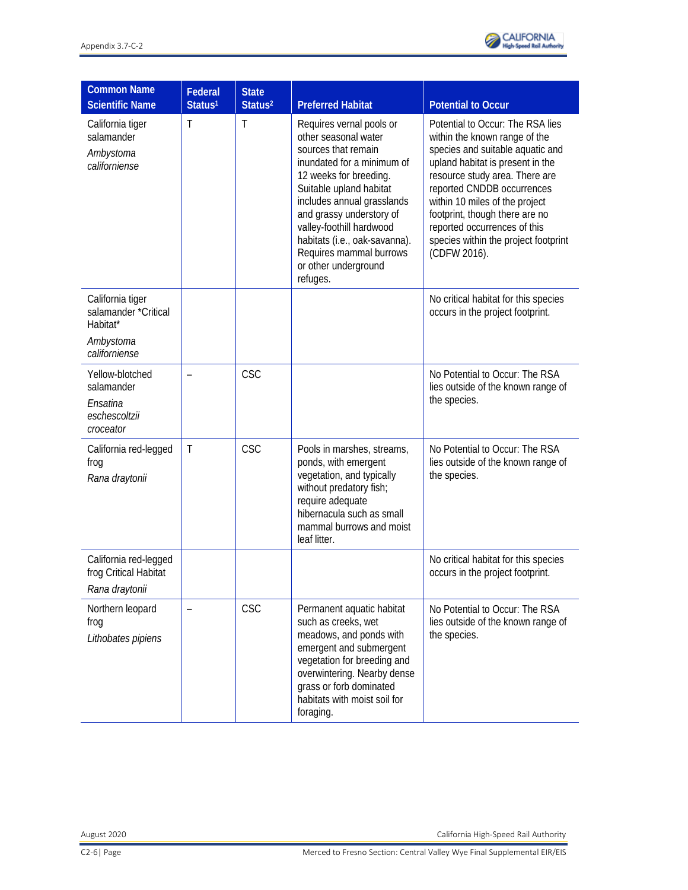

| <b>Common Name</b><br><b>Scientific Name</b>                                       | Federal<br>Status <sup>1</sup> | <b>State</b><br>Status <sup>2</sup> | <b>Preferred Habitat</b>                                                                                                                                                                                                                                                                                                                         | <b>Potential to Occur</b>                                                                                                                                                                                                                                                                                                                                             |
|------------------------------------------------------------------------------------|--------------------------------|-------------------------------------|--------------------------------------------------------------------------------------------------------------------------------------------------------------------------------------------------------------------------------------------------------------------------------------------------------------------------------------------------|-----------------------------------------------------------------------------------------------------------------------------------------------------------------------------------------------------------------------------------------------------------------------------------------------------------------------------------------------------------------------|
| California tiger<br>salamander<br>Ambystoma<br>californiense                       | Τ                              | $\top$                              | Requires vernal pools or<br>other seasonal water<br>sources that remain<br>inundated for a minimum of<br>12 weeks for breeding.<br>Suitable upland habitat<br>includes annual grasslands<br>and grassy understory of<br>valley-foothill hardwood<br>habitats (i.e., oak-savanna).<br>Requires mammal burrows<br>or other underground<br>refuges. | Potential to Occur: The RSA lies<br>within the known range of the<br>species and suitable aquatic and<br>upland habitat is present in the<br>resource study area. There are<br>reported CNDDB occurrences<br>within 10 miles of the project<br>footprint, though there are no<br>reported occurrences of this<br>species within the project footprint<br>(CDFW 2016). |
| California tiger<br>salamander *Critical<br>Habitat*<br>Ambystoma<br>californiense |                                |                                     |                                                                                                                                                                                                                                                                                                                                                  | No critical habitat for this species<br>occurs in the project footprint.                                                                                                                                                                                                                                                                                              |
| Yellow-blotched<br>salamander<br>Ensatina<br>eschescoltzii<br>croceator            |                                | <b>CSC</b>                          |                                                                                                                                                                                                                                                                                                                                                  | No Potential to Occur: The RSA<br>lies outside of the known range of<br>the species.                                                                                                                                                                                                                                                                                  |
| California red-legged<br>frog<br>Rana draytonii                                    | Τ                              | CSC                                 | Pools in marshes, streams,<br>ponds, with emergent<br>vegetation, and typically<br>without predatory fish;<br>require adequate<br>hibernacula such as small<br>mammal burrows and moist<br>leaf litter.                                                                                                                                          | No Potential to Occur: The RSA<br>lies outside of the known range of<br>the species.                                                                                                                                                                                                                                                                                  |
| California red-legged<br>frog Critical Habitat<br>Rana draytonii                   |                                |                                     |                                                                                                                                                                                                                                                                                                                                                  | No critical habitat for this species<br>occurs in the project footprint.                                                                                                                                                                                                                                                                                              |
| Northern leopard<br>frog<br>Lithobates pipiens                                     |                                | CSC                                 | Permanent aquatic habitat<br>such as creeks, wet<br>meadows, and ponds with<br>emergent and submergent<br>vegetation for breeding and<br>overwintering. Nearby dense<br>grass or forb dominated<br>habitats with moist soil for<br>foraging.                                                                                                     | No Potential to Occur: The RSA<br>lies outside of the known range of<br>the species.                                                                                                                                                                                                                                                                                  |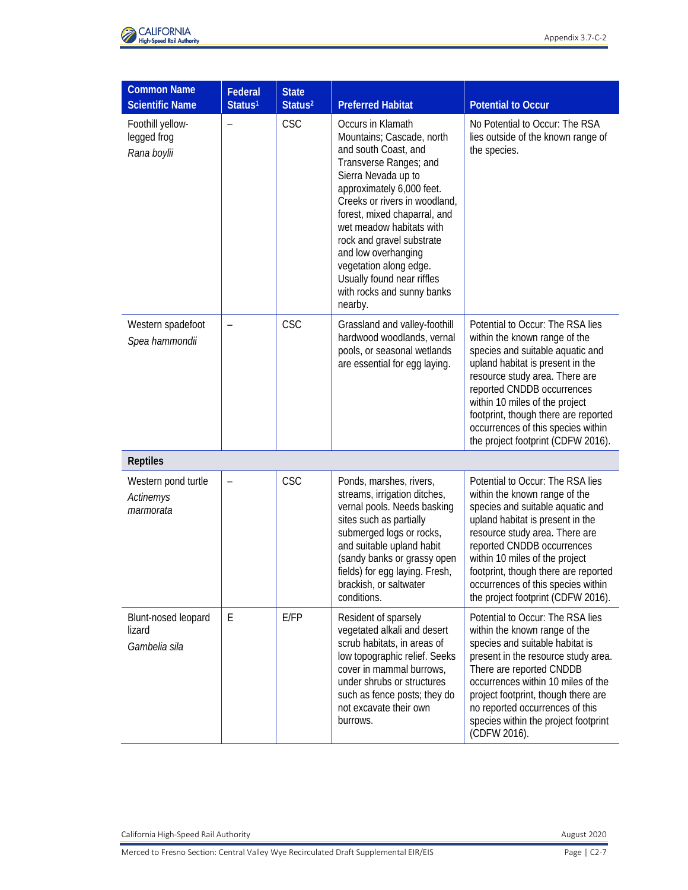

| <b>Common Name</b><br><b>Scientific Name</b>   | Federal<br>Status <sup>1</sup> | <b>State</b><br>Status <sup>2</sup> | <b>Preferred Habitat</b>                                                                                                                                                                                                                                                                                                                                                                               | <b>Potential to Occur</b>                                                                                                                                                                                                                                                                                                                                       |
|------------------------------------------------|--------------------------------|-------------------------------------|--------------------------------------------------------------------------------------------------------------------------------------------------------------------------------------------------------------------------------------------------------------------------------------------------------------------------------------------------------------------------------------------------------|-----------------------------------------------------------------------------------------------------------------------------------------------------------------------------------------------------------------------------------------------------------------------------------------------------------------------------------------------------------------|
| Foothill yellow-<br>legged frog<br>Rana boylii | $\overline{\phantom{0}}$       | <b>CSC</b>                          | Occurs in Klamath<br>Mountains; Cascade, north<br>and south Coast, and<br>Transverse Ranges; and<br>Sierra Nevada up to<br>approximately 6,000 feet.<br>Creeks or rivers in woodland,<br>forest, mixed chaparral, and<br>wet meadow habitats with<br>rock and gravel substrate<br>and low overhanging<br>vegetation along edge.<br>Usually found near riffles<br>with rocks and sunny banks<br>nearby. | No Potential to Occur: The RSA<br>lies outside of the known range of<br>the species.                                                                                                                                                                                                                                                                            |
| Western spadefoot<br>Spea hammondii            |                                | CSC                                 | Grassland and valley-foothill<br>hardwood woodlands, vernal<br>pools, or seasonal wetlands<br>are essential for egg laying.                                                                                                                                                                                                                                                                            | Potential to Occur: The RSA lies<br>within the known range of the<br>species and suitable aquatic and<br>upland habitat is present in the<br>resource study area. There are<br>reported CNDDB occurrences<br>within 10 miles of the project<br>footprint, though there are reported<br>occurrences of this species within<br>the project footprint (CDFW 2016). |
| <b>Reptiles</b>                                |                                |                                     |                                                                                                                                                                                                                                                                                                                                                                                                        |                                                                                                                                                                                                                                                                                                                                                                 |
| Western pond turtle<br>Actinemys<br>marmorata  | $\qquad \qquad -$              | <b>CSC</b>                          | Ponds, marshes, rivers,<br>streams, irrigation ditches,<br>vernal pools. Needs basking<br>sites such as partially<br>submerged logs or rocks,<br>and suitable upland habit<br>(sandy banks or grassy open<br>fields) for egg laying. Fresh,<br>brackish, or saltwater<br>conditions.                                                                                                                   | Potential to Occur: The RSA lies<br>within the known range of the<br>species and suitable aquatic and<br>upland habitat is present in the<br>resource study area. There are<br>reported CNDDB occurrences<br>within 10 miles of the project<br>footprint, though there are reported<br>occurrences of this species within<br>the project footprint (CDFW 2016). |
| Blunt-nosed leopard<br>lizard<br>Gambelia sila | E                              | E/FP                                | Resident of sparsely<br>vegetated alkali and desert<br>scrub habitats, in areas of<br>low topographic relief. Seeks<br>cover in mammal burrows,<br>under shrubs or structures<br>such as fence posts; they do<br>not excavate their own<br>burrows.                                                                                                                                                    | Potential to Occur: The RSA lies<br>within the known range of the<br>species and suitable habitat is<br>present in the resource study area.<br>There are reported CNDDB<br>occurrences within 10 miles of the<br>project footprint, though there are<br>no reported occurrences of this<br>species within the project footprint<br>(CDFW 2016).                 |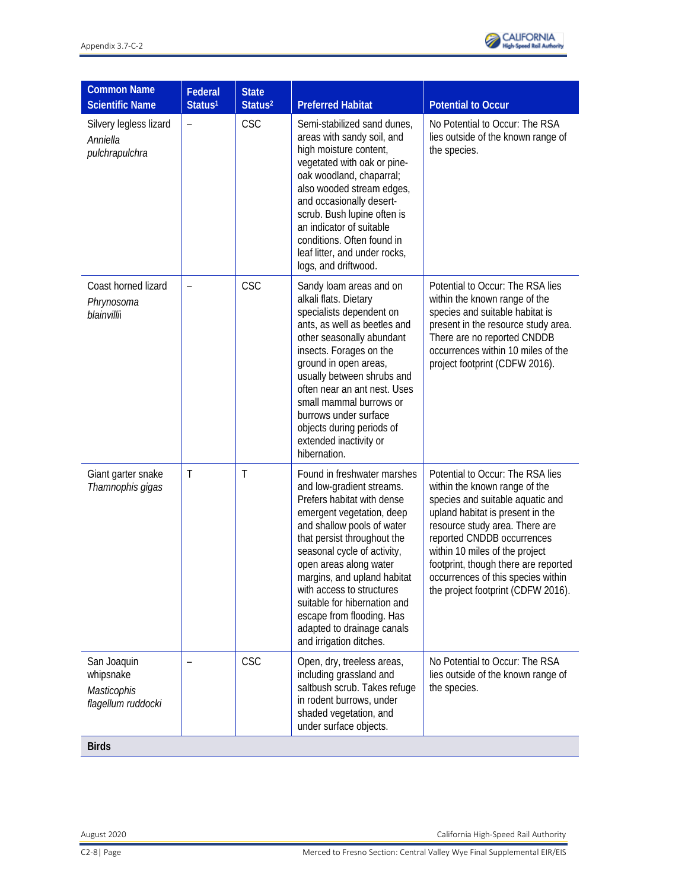

| <b>Common Name</b><br><b>Scientific Name</b>                                  | Federal<br>Status <sup>1</sup> | <b>State</b><br>Status <sup>2</sup> | <b>Preferred Habitat</b>                                                                                                                                                                                                                                                                                                                                                                                                    | <b>Potential to Occur</b>                                                                                                                                                                                                                                                                                                                                       |
|-------------------------------------------------------------------------------|--------------------------------|-------------------------------------|-----------------------------------------------------------------------------------------------------------------------------------------------------------------------------------------------------------------------------------------------------------------------------------------------------------------------------------------------------------------------------------------------------------------------------|-----------------------------------------------------------------------------------------------------------------------------------------------------------------------------------------------------------------------------------------------------------------------------------------------------------------------------------------------------------------|
| Silvery legless lizard<br>Anniella<br>pulchrapulchra                          |                                | CSC                                 | Semi-stabilized sand dunes,<br>areas with sandy soil, and<br>high moisture content,<br>vegetated with oak or pine-<br>oak woodland, chaparral;<br>also wooded stream edges,<br>and occasionally desert-<br>scrub. Bush lupine often is<br>an indicator of suitable<br>conditions. Often found in<br>leaf litter, and under rocks,<br>logs, and driftwood.                                                                   | No Potential to Occur: The RSA<br>lies outside of the known range of<br>the species.                                                                                                                                                                                                                                                                            |
| Coast horned lizard<br>Phrynosoma<br>blainvilli                               |                                | CSC                                 | Sandy loam areas and on<br>alkali flats. Dietary<br>specialists dependent on<br>ants, as well as beetles and<br>other seasonally abundant<br>insects. Forages on the<br>ground in open areas,<br>usually between shrubs and<br>often near an ant nest. Uses<br>small mammal burrows or<br>burrows under surface<br>objects during periods of<br>extended inactivity or<br>hibernation.                                      | Potential to Occur: The RSA lies<br>within the known range of the<br>species and suitable habitat is<br>present in the resource study area.<br>There are no reported CNDDB<br>occurrences within 10 miles of the<br>project footprint (CDFW 2016).                                                                                                              |
| Giant garter snake<br>Thamnophis gigas                                        | T                              | $\top$                              | Found in freshwater marshes<br>and low-gradient streams.<br>Prefers habitat with dense<br>emergent vegetation, deep<br>and shallow pools of water<br>that persist throughout the<br>seasonal cycle of activity,<br>open areas along water<br>margins, and upland habitat<br>with access to structures<br>suitable for hibernation and<br>escape from flooding. Has<br>adapted to drainage canals<br>and irrigation ditches. | Potential to Occur: The RSA lies<br>within the known range of the<br>species and suitable aquatic and<br>upland habitat is present in the<br>resource study area. There are<br>reported CNDDB occurrences<br>within 10 miles of the project<br>footprint, though there are reported<br>occurrences of this species within<br>the project footprint (CDFW 2016). |
| San Joaquin<br>whipsnake<br>Masticophis<br>flagellum ruddocki<br><b>Birds</b> |                                | CSC                                 | Open, dry, treeless areas,<br>including grassland and<br>saltbush scrub. Takes refuge<br>in rodent burrows, under<br>shaded vegetation, and<br>under surface objects.                                                                                                                                                                                                                                                       | No Potential to Occur: The RSA<br>lies outside of the known range of<br>the species.                                                                                                                                                                                                                                                                            |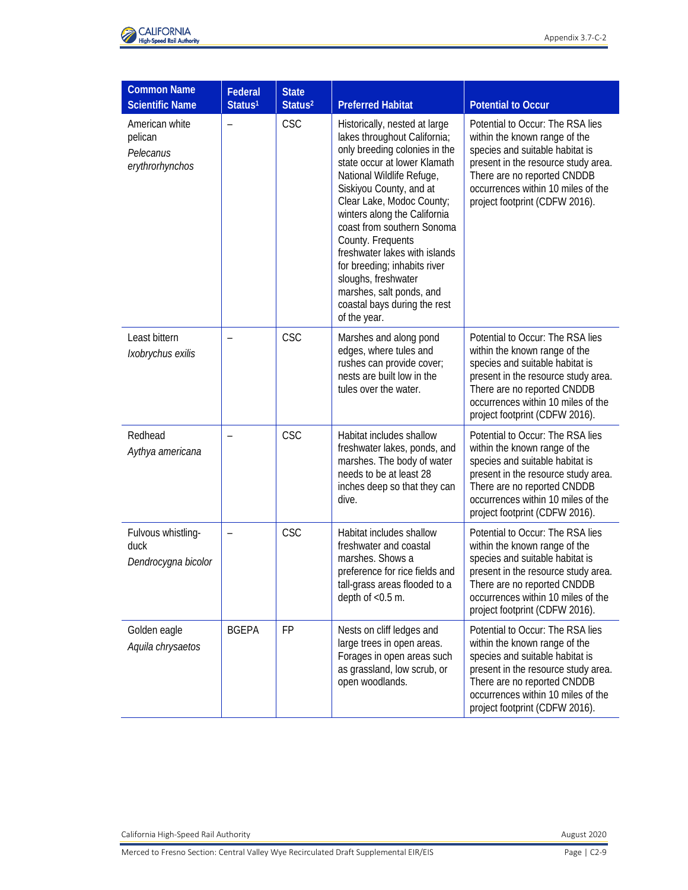

| <b>Common Name</b><br><b>Scientific Name</b>              | Federal<br>Status <sup>1</sup> | <b>State</b><br>Status <sup>2</sup> | <b>Preferred Habitat</b>                                                                                                                                                                                                                                                                                                                                                                                                                                                   | <b>Potential to Occur</b>                                                                                                                                                                                                                          |
|-----------------------------------------------------------|--------------------------------|-------------------------------------|----------------------------------------------------------------------------------------------------------------------------------------------------------------------------------------------------------------------------------------------------------------------------------------------------------------------------------------------------------------------------------------------------------------------------------------------------------------------------|----------------------------------------------------------------------------------------------------------------------------------------------------------------------------------------------------------------------------------------------------|
| American white<br>pelican<br>Pelecanus<br>erythrorhynchos | $\overline{\phantom{0}}$       | <b>CSC</b>                          | Historically, nested at large<br>lakes throughout California;<br>only breeding colonies in the<br>state occur at lower Klamath<br>National Wildlife Refuge,<br>Siskiyou County, and at<br>Clear Lake, Modoc County;<br>winters along the California<br>coast from southern Sonoma<br>County. Frequents<br>freshwater lakes with islands<br>for breeding; inhabits river<br>sloughs, freshwater<br>marshes, salt ponds, and<br>coastal bays during the rest<br>of the year. | Potential to Occur: The RSA lies<br>within the known range of the<br>species and suitable habitat is<br>present in the resource study area.<br>There are no reported CNDDB<br>occurrences within 10 miles of the<br>project footprint (CDFW 2016). |
| Least bittern<br>Ixobrychus exilis                        |                                | CSC                                 | Marshes and along pond<br>edges, where tules and<br>rushes can provide cover;<br>nests are built low in the<br>tules over the water.                                                                                                                                                                                                                                                                                                                                       | Potential to Occur: The RSA lies<br>within the known range of the<br>species and suitable habitat is<br>present in the resource study area.<br>There are no reported CNDDB<br>occurrences within 10 miles of the<br>project footprint (CDFW 2016). |
| Redhead<br>Aythya americana                               |                                | CSC                                 | Habitat includes shallow<br>freshwater lakes, ponds, and<br>marshes. The body of water<br>needs to be at least 28<br>inches deep so that they can<br>dive.                                                                                                                                                                                                                                                                                                                 | Potential to Occur: The RSA lies<br>within the known range of the<br>species and suitable habitat is<br>present in the resource study area.<br>There are no reported CNDDB<br>occurrences within 10 miles of the<br>project footprint (CDFW 2016). |
| Fulvous whistling-<br>duck<br>Dendrocygna bicolor         |                                | CSC                                 | Habitat includes shallow<br>freshwater and coastal<br>marshes. Shows a<br>preference for rice fields and<br>tall-grass areas flooded to a<br>depth of $<$ 0.5 m.                                                                                                                                                                                                                                                                                                           | Potential to Occur: The RSA lies<br>within the known range of the<br>species and suitable habitat is<br>present in the resource study area.<br>There are no reported CNDDB<br>occurrences within 10 miles of the<br>project footprint (CDFW 2016). |
| Golden eagle<br>Aquila chrysaetos                         | <b>BGEPA</b>                   | <b>FP</b>                           | Nests on cliff ledges and<br>large trees in open areas.<br>Forages in open areas such<br>as grassland, low scrub, or<br>open woodlands.                                                                                                                                                                                                                                                                                                                                    | Potential to Occur: The RSA lies<br>within the known range of the<br>species and suitable habitat is<br>present in the resource study area.<br>There are no reported CNDDB<br>occurrences within 10 miles of the<br>project footprint (CDFW 2016). |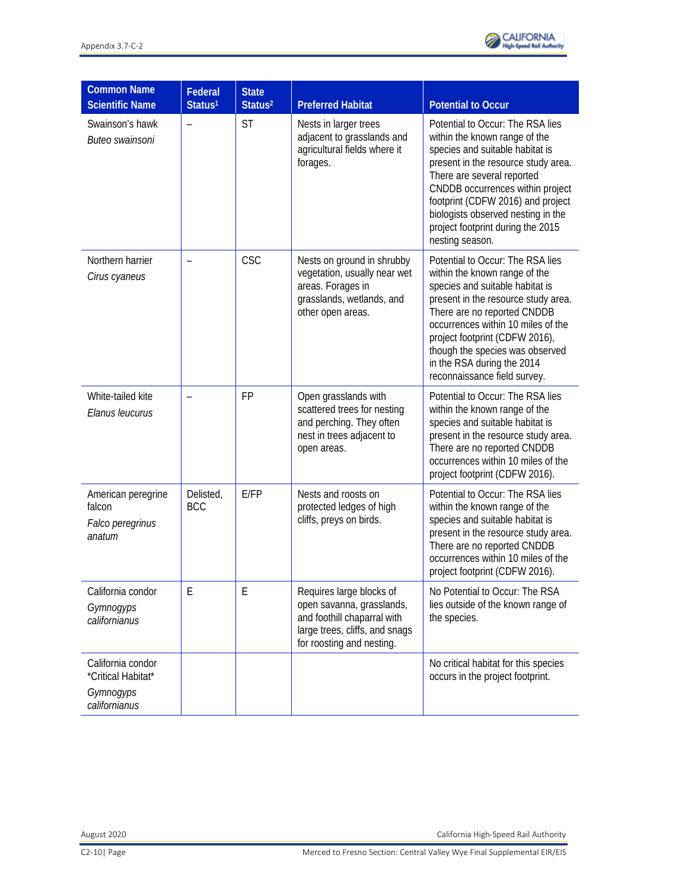

| <b>Common Name</b><br><b>Scientific Name</b>                          | Federal<br>Status <sup>1</sup> | <b>State</b><br>Status <sup>2</sup> | <b>Preferred Habitat</b>                                                                                                                            | <b>Potential to Occur</b>                                                                                                                                                                                                                                                                                                                           |
|-----------------------------------------------------------------------|--------------------------------|-------------------------------------|-----------------------------------------------------------------------------------------------------------------------------------------------------|-----------------------------------------------------------------------------------------------------------------------------------------------------------------------------------------------------------------------------------------------------------------------------------------------------------------------------------------------------|
| Swainson's hawk<br>Buteo swainsoni                                    |                                | <b>ST</b>                           | Nests in larger trees<br>adjacent to grasslands and<br>agricultural fields where it<br>forages.                                                     | Potential to Occur: The RSA lies<br>within the known range of the<br>species and suitable habitat is<br>present in the resource study area.<br>There are several reported<br>CNDDB occurrences within project<br>footprint (CDFW 2016) and project<br>biologists observed nesting in the<br>project footprint during the 2015<br>nesting season.    |
| Northern harrier<br>Cirus cyaneus                                     |                                | CSC                                 | Nests on ground in shrubby<br>vegetation, usually near wet<br>areas. Forages in<br>grasslands, wetlands, and<br>other open areas.                   | Potential to Occur: The RSA lies<br>within the known range of the<br>species and suitable habitat is<br>present in the resource study area.<br>There are no reported CNDDB<br>occurrences within 10 miles of the<br>project footprint (CDFW 2016),<br>though the species was observed<br>in the RSA during the 2014<br>reconnaissance field survey. |
| White-tailed kite<br>Elanus leucurus                                  | $\overline{\phantom{0}}$       | <b>FP</b>                           | Open grasslands with<br>scattered trees for nesting<br>and perching. They often<br>nest in trees adjacent to<br>open areas.                         | Potential to Occur: The RSA lies<br>within the known range of the<br>species and suitable habitat is<br>present in the resource study area.<br>There are no reported CNDDB<br>occurrences within 10 miles of the<br>project footprint (CDFW 2016).                                                                                                  |
| American peregrine<br>falcon<br>Falco peregrinus<br>anatum            | Delisted,<br>BCC               | E/FP                                | Nests and roosts on<br>protected ledges of high<br>cliffs, preys on birds.                                                                          | Potential to Occur: The RSA lies<br>within the known range of the<br>species and suitable habitat is<br>present in the resource study area.<br>There are no reported CNDDB<br>occurrences within 10 miles of the<br>project footprint (CDFW 2016).                                                                                                  |
| California condor<br>Gymnogyps<br>californianus                       | E                              | E                                   | Requires large blocks of<br>open savanna, grasslands,<br>and foothill chaparral with<br>large trees, cliffs, and snags<br>for roosting and nesting. | No Potential to Occur: The RSA<br>lies outside of the known range of<br>the species.                                                                                                                                                                                                                                                                |
| California condor<br>*Critical Habitat*<br>Gymnogyps<br>californianus |                                |                                     |                                                                                                                                                     | No critical habitat for this species<br>occurs in the project footprint.                                                                                                                                                                                                                                                                            |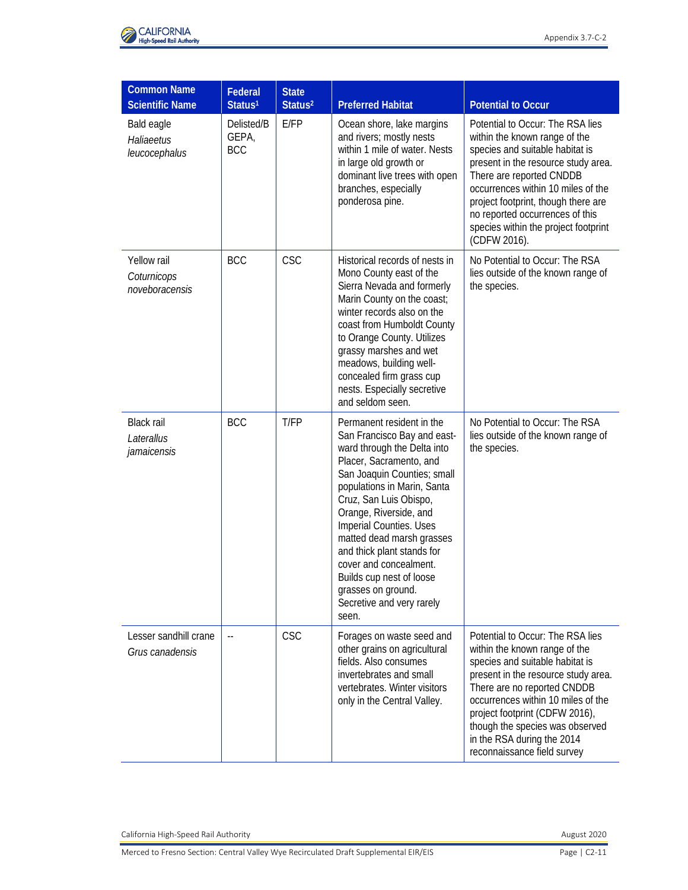

| <b>Common Name</b><br><b>Scientific Name</b>   | Federal<br>Status <sup>1</sup>    | <b>State</b><br>Status <sup>2</sup> | <b>Preferred Habitat</b>                                                                                                                                                                                                                                                                                                                                                                                                                     | <b>Potential to Occur</b>                                                                                                                                                                                                                                                                                                                          |
|------------------------------------------------|-----------------------------------|-------------------------------------|----------------------------------------------------------------------------------------------------------------------------------------------------------------------------------------------------------------------------------------------------------------------------------------------------------------------------------------------------------------------------------------------------------------------------------------------|----------------------------------------------------------------------------------------------------------------------------------------------------------------------------------------------------------------------------------------------------------------------------------------------------------------------------------------------------|
| Bald eagle<br>Haliaeetus<br>leucocephalus      | Delisted/B<br>GEPA,<br><b>BCC</b> | E/FP                                | Ocean shore, lake margins<br>and rivers; mostly nests<br>within 1 mile of water. Nests<br>in large old growth or<br>dominant live trees with open<br>branches, especially<br>ponderosa pine.                                                                                                                                                                                                                                                 | Potential to Occur: The RSA lies<br>within the known range of the<br>species and suitable habitat is<br>present in the resource study area.<br>There are reported CNDDB<br>occurrences within 10 miles of the<br>project footprint, though there are<br>no reported occurrences of this<br>species within the project footprint<br>(CDFW 2016).    |
| Yellow rail<br>Coturnicops<br>noveboracensis   | <b>BCC</b>                        | CSC                                 | Historical records of nests in<br>Mono County east of the<br>Sierra Nevada and formerly<br>Marin County on the coast;<br>winter records also on the<br>coast from Humboldt County<br>to Orange County. Utilizes<br>grassy marshes and wet<br>meadows, building well-<br>concealed firm grass cup<br>nests. Especially secretive<br>and seldom seen.                                                                                          | No Potential to Occur: The RSA<br>lies outside of the known range of<br>the species.                                                                                                                                                                                                                                                               |
| <b>Black rail</b><br>Laterallus<br>jamaicensis | <b>BCC</b>                        | T/FP                                | Permanent resident in the<br>San Francisco Bay and east-<br>ward through the Delta into<br>Placer, Sacramento, and<br>San Joaquin Counties; small<br>populations in Marin, Santa<br>Cruz, San Luis Obispo,<br>Orange, Riverside, and<br>Imperial Counties. Uses<br>matted dead marsh grasses<br>and thick plant stands for<br>cover and concealment.<br>Builds cup nest of loose<br>grasses on ground.<br>Secretive and very rarely<br>seen. | No Potential to Occur: The RSA<br>lies outside of the known range of<br>the species.                                                                                                                                                                                                                                                               |
| Lesser sandhill crane<br>Grus canadensis       | $\overline{\phantom{a}}$          | <b>CSC</b>                          | Forages on waste seed and<br>other grains on agricultural<br>fields. Also consumes<br>invertebrates and small<br>vertebrates. Winter visitors<br>only in the Central Valley.                                                                                                                                                                                                                                                                 | Potential to Occur: The RSA lies<br>within the known range of the<br>species and suitable habitat is<br>present in the resource study area.<br>There are no reported CNDDB<br>occurrences within 10 miles of the<br>project footprint (CDFW 2016),<br>though the species was observed<br>in the RSA during the 2014<br>reconnaissance field survey |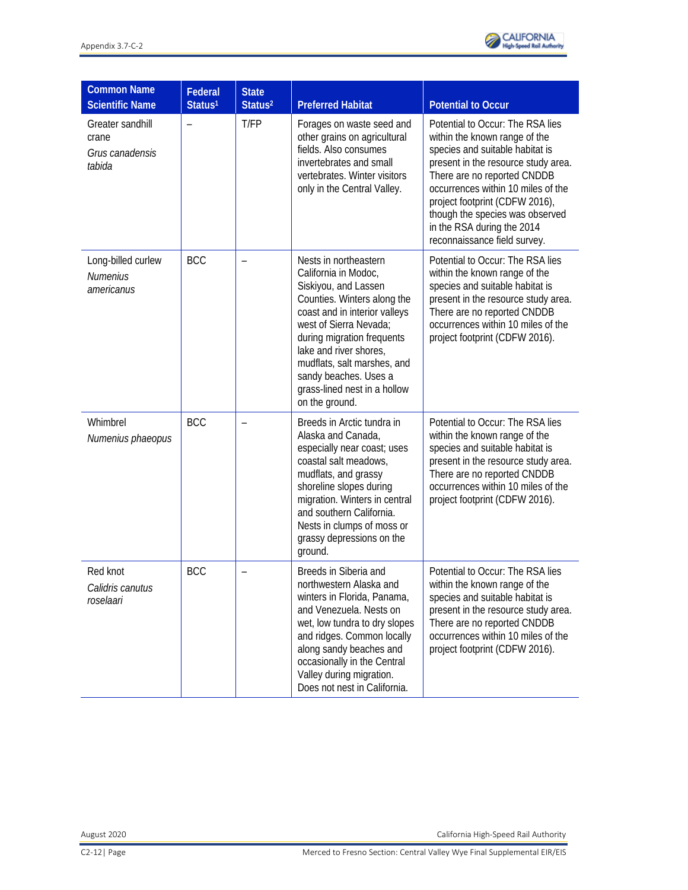

| <b>Common Name</b><br><b>Scientific Name</b>           | Federal<br>Status <sup>1</sup> | <b>State</b><br>Status <sup>2</sup> | <b>Preferred Habitat</b>                                                                                                                                                                                                                                                                                                          | <b>Potential to Occur</b>                                                                                                                                                                                                                                                                                                                           |
|--------------------------------------------------------|--------------------------------|-------------------------------------|-----------------------------------------------------------------------------------------------------------------------------------------------------------------------------------------------------------------------------------------------------------------------------------------------------------------------------------|-----------------------------------------------------------------------------------------------------------------------------------------------------------------------------------------------------------------------------------------------------------------------------------------------------------------------------------------------------|
| Greater sandhill<br>crane<br>Grus canadensis<br>tabida |                                | T/FP                                | Forages on waste seed and<br>other grains on agricultural<br>fields. Also consumes<br>invertebrates and small<br>vertebrates. Winter visitors<br>only in the Central Valley.                                                                                                                                                      | Potential to Occur: The RSA lies<br>within the known range of the<br>species and suitable habitat is<br>present in the resource study area.<br>There are no reported CNDDB<br>occurrences within 10 miles of the<br>project footprint (CDFW 2016),<br>though the species was observed<br>in the RSA during the 2014<br>reconnaissance field survey. |
| Long-billed curlew<br><b>Numenius</b><br>americanus    | <b>BCC</b>                     |                                     | Nests in northeastern<br>California in Modoc,<br>Siskiyou, and Lassen<br>Counties. Winters along the<br>coast and in interior valleys<br>west of Sierra Nevada;<br>during migration frequents<br>lake and river shores,<br>mudflats, salt marshes, and<br>sandy beaches. Uses a<br>grass-lined nest in a hollow<br>on the ground. | Potential to Occur: The RSA lies<br>within the known range of the<br>species and suitable habitat is<br>present in the resource study area.<br>There are no reported CNDDB<br>occurrences within 10 miles of the<br>project footprint (CDFW 2016).                                                                                                  |
| Whimbrel<br>Numenius phaeopus                          | <b>BCC</b>                     |                                     | Breeds in Arctic tundra in<br>Alaska and Canada,<br>especially near coast; uses<br>coastal salt meadows,<br>mudflats, and grassy<br>shoreline slopes during<br>migration. Winters in central<br>and southern California.<br>Nests in clumps of moss or<br>grassy depressions on the<br>ground.                                    | Potential to Occur: The RSA lies<br>within the known range of the<br>species and suitable habitat is<br>present in the resource study area.<br>There are no reported CNDDB<br>occurrences within 10 miles of the<br>project footprint (CDFW 2016).                                                                                                  |
| Red knot<br>Calidris canutus<br>roselaari              | <b>BCC</b>                     |                                     | Breeds in Siberia and<br>northwestern Alaska and<br>winters in Florida, Panama,<br>and Venezuela. Nests on<br>wet, low tundra to dry slopes<br>and ridges. Common locally<br>along sandy beaches and<br>occasionally in the Central<br>Valley during migration.<br>Does not nest in California.                                   | Potential to Occur: The RSA lies<br>within the known range of the<br>species and suitable habitat is<br>present in the resource study area.<br>There are no reported CNDDB<br>occurrences within 10 miles of the<br>project footprint (CDFW 2016).                                                                                                  |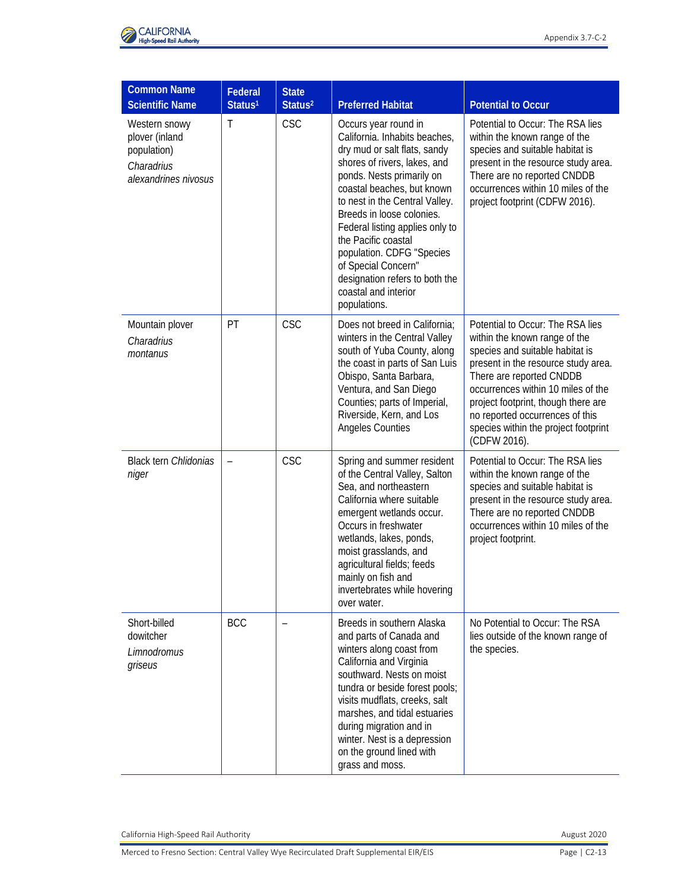

| <b>Common Name</b><br><b>Scientific Name</b>                                         | Federal<br>Status <sup>1</sup> | <b>State</b><br>Status <sup>2</sup> | <b>Preferred Habitat</b>                                                                                                                                                                                                                                                                                                                                                                                                                | <b>Potential to Occur</b>                                                                                                                                                                                                                                                                                                                       |
|--------------------------------------------------------------------------------------|--------------------------------|-------------------------------------|-----------------------------------------------------------------------------------------------------------------------------------------------------------------------------------------------------------------------------------------------------------------------------------------------------------------------------------------------------------------------------------------------------------------------------------------|-------------------------------------------------------------------------------------------------------------------------------------------------------------------------------------------------------------------------------------------------------------------------------------------------------------------------------------------------|
| Western snowy<br>plover (inland<br>population)<br>Charadrius<br>alexandrines nivosus | T                              | <b>CSC</b>                          | Occurs year round in<br>California. Inhabits beaches,<br>dry mud or salt flats, sandy<br>shores of rivers, lakes, and<br>ponds. Nests primarily on<br>coastal beaches, but known<br>to nest in the Central Valley.<br>Breeds in loose colonies.<br>Federal listing applies only to<br>the Pacific coastal<br>population. CDFG "Species<br>of Special Concern"<br>designation refers to both the<br>coastal and interior<br>populations. | Potential to Occur: The RSA lies<br>within the known range of the<br>species and suitable habitat is<br>present in the resource study area.<br>There are no reported CNDDB<br>occurrences within 10 miles of the<br>project footprint (CDFW 2016).                                                                                              |
| Mountain plover<br>Charadrius<br>montanus                                            | PT                             | <b>CSC</b>                          | Does not breed in California;<br>winters in the Central Valley<br>south of Yuba County, along<br>the coast in parts of San Luis<br>Obispo, Santa Barbara,<br>Ventura, and San Diego<br>Counties; parts of Imperial,<br>Riverside, Kern, and Los<br>Angeles Counties                                                                                                                                                                     | Potential to Occur: The RSA lies<br>within the known range of the<br>species and suitable habitat is<br>present in the resource study area.<br>There are reported CNDDB<br>occurrences within 10 miles of the<br>project footprint, though there are<br>no reported occurrences of this<br>species within the project footprint<br>(CDFW 2016). |
| <b>Black tern Chlidonias</b><br>niger                                                | $\overline{\phantom{0}}$       | <b>CSC</b>                          | Spring and summer resident<br>of the Central Valley, Salton<br>Sea, and northeastern<br>California where suitable<br>emergent wetlands occur.<br>Occurs in freshwater<br>wetlands, lakes, ponds,<br>moist grasslands, and<br>agricultural fields; feeds<br>mainly on fish and<br>invertebrates while hovering<br>over water.                                                                                                            | Potential to Occur: The RSA lies<br>within the known range of the<br>species and suitable habitat is<br>present in the resource study area.<br>There are no reported CNDDB<br>occurrences within 10 miles of the<br>project footprint.                                                                                                          |
| Short-billed<br>dowitcher<br>Limnodromus<br>griseus                                  | <b>BCC</b>                     | $\overline{\phantom{0}}$            | Breeds in southern Alaska<br>and parts of Canada and<br>winters along coast from<br>California and Virginia<br>southward. Nests on moist<br>tundra or beside forest pools;<br>visits mudflats, creeks, salt<br>marshes, and tidal estuaries<br>during migration and in<br>winter. Nest is a depression<br>on the ground lined with<br>grass and moss.                                                                                   | No Potential to Occur: The RSA<br>lies outside of the known range of<br>the species.                                                                                                                                                                                                                                                            |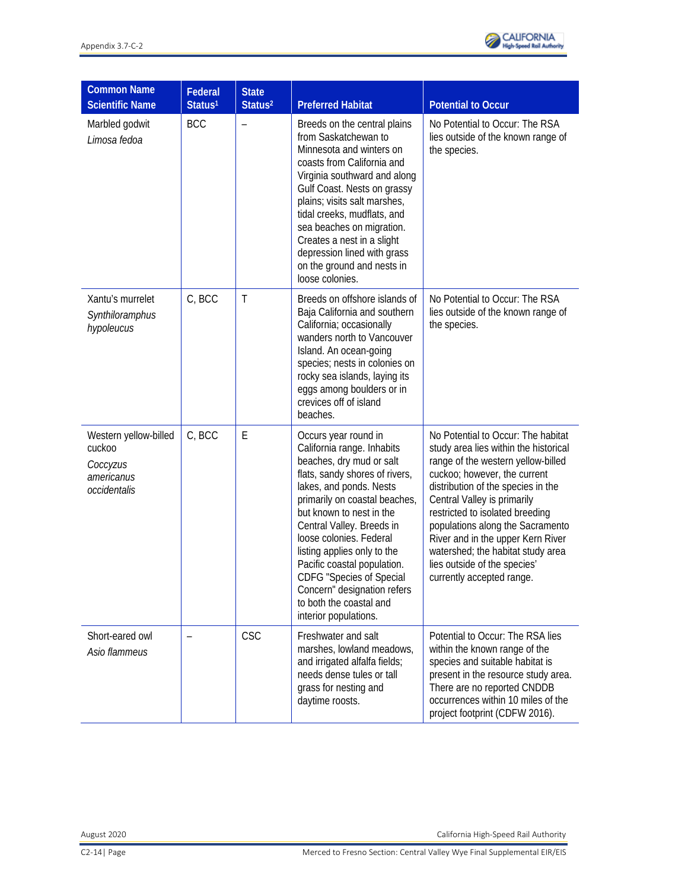

| <b>Common Name</b><br><b>Scientific Name</b>                              | Federal<br>Status <sup>1</sup> | <b>State</b><br>Status <sup>2</sup> | <b>Preferred Habitat</b>                                                                                                                                                                                                                                                                                                                                                                                                                             | <b>Potential to Occur</b>                                                                                                                                                                                                                                                                                                                                                                                                            |
|---------------------------------------------------------------------------|--------------------------------|-------------------------------------|------------------------------------------------------------------------------------------------------------------------------------------------------------------------------------------------------------------------------------------------------------------------------------------------------------------------------------------------------------------------------------------------------------------------------------------------------|--------------------------------------------------------------------------------------------------------------------------------------------------------------------------------------------------------------------------------------------------------------------------------------------------------------------------------------------------------------------------------------------------------------------------------------|
| Marbled godwit<br>Limosa fedoa                                            | <b>BCC</b>                     | $\qquad \qquad -$                   | Breeds on the central plains<br>from Saskatchewan to<br>Minnesota and winters on<br>coasts from California and<br>Virginia southward and along<br>Gulf Coast. Nests on grassy<br>plains; visits salt marshes,<br>tidal creeks, mudflats, and<br>sea beaches on migration.<br>Creates a nest in a slight<br>depression lined with grass<br>on the ground and nests in<br>loose colonies.                                                              | No Potential to Occur: The RSA<br>lies outside of the known range of<br>the species.                                                                                                                                                                                                                                                                                                                                                 |
| Xantu's murrelet<br>Synthiloramphus<br>hypoleucus                         | C, BCC                         | $\mathsf T$                         | Breeds on offshore islands of<br>Baja California and southern<br>California; occasionally<br>wanders north to Vancouver<br>Island. An ocean-going<br>species; nests in colonies on<br>rocky sea islands, laying its<br>eggs among boulders or in<br>crevices off of island<br>beaches.                                                                                                                                                               | No Potential to Occur: The RSA<br>lies outside of the known range of<br>the species.                                                                                                                                                                                                                                                                                                                                                 |
| Western yellow-billed<br>cuckoo<br>Coccyzus<br>americanus<br>occidentalis | C, BCC                         | E                                   | Occurs year round in<br>California range. Inhabits<br>beaches, dry mud or salt<br>flats, sandy shores of rivers,<br>lakes, and ponds. Nests<br>primarily on coastal beaches,<br>but known to nest in the<br>Central Valley. Breeds in<br>loose colonies. Federal<br>listing applies only to the<br>Pacific coastal population.<br><b>CDFG</b> "Species of Special<br>Concern" designation refers<br>to both the coastal and<br>interior populations. | No Potential to Occur: The habitat<br>study area lies within the historical<br>range of the western yellow-billed<br>cuckoo; however, the current<br>distribution of the species in the<br>Central Valley is primarily<br>restricted to isolated breeding<br>populations along the Sacramento<br>River and in the upper Kern River<br>watershed; the habitat study area<br>lies outside of the species'<br>currently accepted range. |
| Short-eared owl<br>Asio flammeus                                          |                                | <b>CSC</b>                          | Freshwater and salt<br>marshes, lowland meadows,<br>and irrigated alfalfa fields;<br>needs dense tules or tall<br>grass for nesting and<br>daytime roosts.                                                                                                                                                                                                                                                                                           | Potential to Occur: The RSA lies<br>within the known range of the<br>species and suitable habitat is<br>present in the resource study area.<br>There are no reported CNDDB<br>occurrences within 10 miles of the<br>project footprint (CDFW 2016).                                                                                                                                                                                   |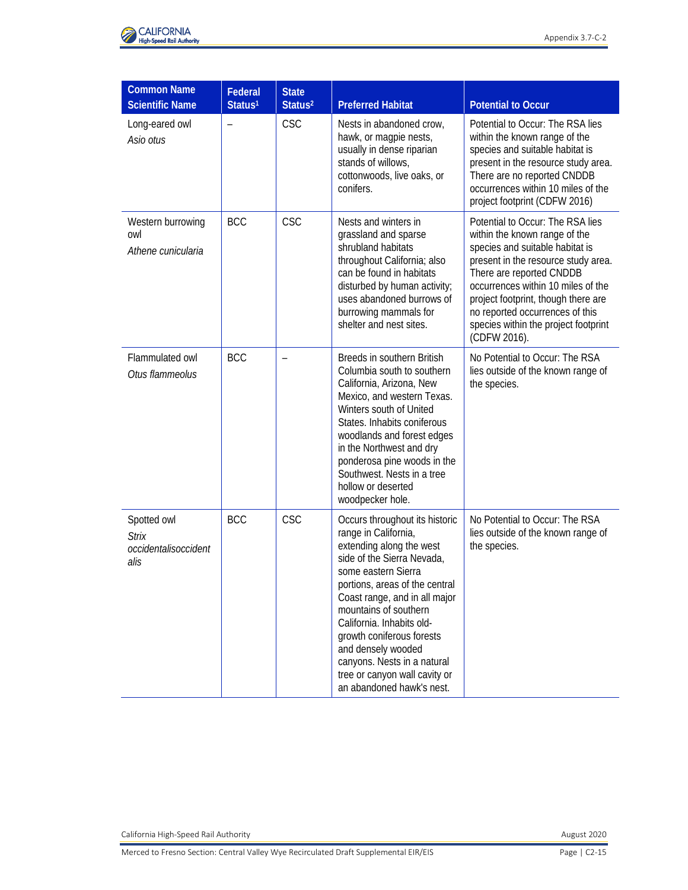

| <b>Common Name</b><br><b>Scientific Name</b>                | Federal<br>Status <sup>1</sup> | <b>State</b><br>Status <sup>2</sup> | <b>Preferred Habitat</b>                                                                                                                                                                                                                                                                                                                                                                                         | <b>Potential to Occur</b>                                                                                                                                                                                                                                                                                                                       |
|-------------------------------------------------------------|--------------------------------|-------------------------------------|------------------------------------------------------------------------------------------------------------------------------------------------------------------------------------------------------------------------------------------------------------------------------------------------------------------------------------------------------------------------------------------------------------------|-------------------------------------------------------------------------------------------------------------------------------------------------------------------------------------------------------------------------------------------------------------------------------------------------------------------------------------------------|
| Long-eared owl<br>Asio otus                                 | $\qquad \qquad -$              | <b>CSC</b>                          | Nests in abandoned crow,<br>hawk, or magpie nests,<br>usually in dense riparian<br>stands of willows,<br>cottonwoods, live oaks, or<br>conifers.                                                                                                                                                                                                                                                                 | Potential to Occur: The RSA lies<br>within the known range of the<br>species and suitable habitat is<br>present in the resource study area.<br>There are no reported CNDDB<br>occurrences within 10 miles of the<br>project footprint (CDFW 2016)                                                                                               |
| Western burrowing<br>owl<br>Athene cunicularia              | <b>BCC</b>                     | <b>CSC</b>                          | Nests and winters in<br>grassland and sparse<br>shrubland habitats<br>throughout California; also<br>can be found in habitats<br>disturbed by human activity;<br>uses abandoned burrows of<br>burrowing mammals for<br>shelter and nest sites.                                                                                                                                                                   | Potential to Occur: The RSA lies<br>within the known range of the<br>species and suitable habitat is<br>present in the resource study area.<br>There are reported CNDDB<br>occurrences within 10 miles of the<br>project footprint, though there are<br>no reported occurrences of this<br>species within the project footprint<br>(CDFW 2016). |
| Flammulated owl<br>Otus flammeolus                          | <b>BCC</b>                     |                                     | Breeds in southern British<br>Columbia south to southern<br>California, Arizona, New<br>Mexico, and western Texas.<br>Winters south of United<br>States. Inhabits coniferous<br>woodlands and forest edges<br>in the Northwest and dry<br>ponderosa pine woods in the<br>Southwest. Nests in a tree<br>hollow or deserted<br>woodpecker hole.                                                                    | No Potential to Occur: The RSA<br>lies outside of the known range of<br>the species.                                                                                                                                                                                                                                                            |
| Spotted owl<br><b>Strix</b><br>occidentalisoccident<br>alis | <b>BCC</b>                     | <b>CSC</b>                          | Occurs throughout its historic<br>range in California,<br>extending along the west<br>side of the Sierra Nevada,<br>some eastern Sierra<br>portions, areas of the central<br>Coast range, and in all major<br>mountains of southern<br>California. Inhabits old-<br>growth coniferous forests<br>and densely wooded<br>canyons. Nests in a natural<br>tree or canyon wall cavity or<br>an abandoned hawk's nest. | No Potential to Occur: The RSA<br>lies outside of the known range of<br>the species.                                                                                                                                                                                                                                                            |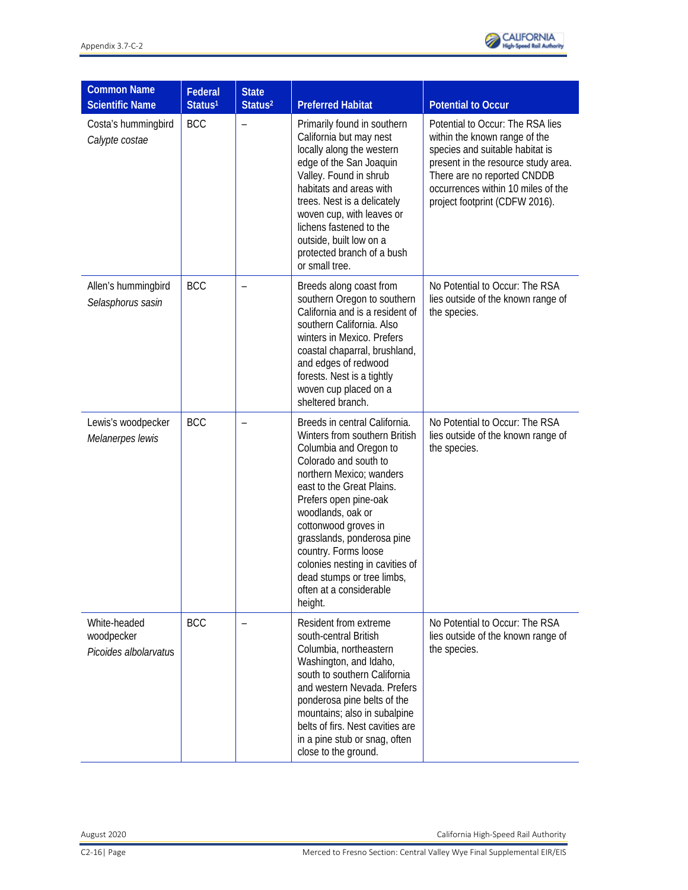

| <b>Common Name</b><br><b>Scientific Name</b>        | Federal<br>Status <sup>1</sup> | <b>State</b><br>Status <sup>2</sup> | <b>Preferred Habitat</b>                                                                                                                                                                                                                                                                                                                                                                                     | <b>Potential to Occur</b>                                                                                                                                                                                                                          |
|-----------------------------------------------------|--------------------------------|-------------------------------------|--------------------------------------------------------------------------------------------------------------------------------------------------------------------------------------------------------------------------------------------------------------------------------------------------------------------------------------------------------------------------------------------------------------|----------------------------------------------------------------------------------------------------------------------------------------------------------------------------------------------------------------------------------------------------|
| Costa's hummingbird<br>Calypte costae               | <b>BCC</b>                     | $\qquad \qquad -$                   | Primarily found in southern<br>California but may nest<br>locally along the western<br>edge of the San Joaquin<br>Valley. Found in shrub<br>habitats and areas with<br>trees. Nest is a delicately<br>woven cup, with leaves or<br>lichens fastened to the<br>outside, built low on a<br>protected branch of a bush<br>or small tree.                                                                        | Potential to Occur: The RSA lies<br>within the known range of the<br>species and suitable habitat is<br>present in the resource study area.<br>There are no reported CNDDB<br>occurrences within 10 miles of the<br>project footprint (CDFW 2016). |
| Allen's hummingbird<br>Selasphorus sasin            | <b>BCC</b>                     |                                     | Breeds along coast from<br>southern Oregon to southern<br>California and is a resident of<br>southern California. Also<br>winters in Mexico. Prefers<br>coastal chaparral, brushland,<br>and edges of redwood<br>forests. Nest is a tightly<br>woven cup placed on a<br>sheltered branch.                                                                                                                    | No Potential to Occur: The RSA<br>lies outside of the known range of<br>the species.                                                                                                                                                               |
| Lewis's woodpecker<br>Melanerpes lewis              | <b>BCC</b>                     |                                     | Breeds in central California.<br>Winters from southern British<br>Columbia and Oregon to<br>Colorado and south to<br>northern Mexico; wanders<br>east to the Great Plains.<br>Prefers open pine-oak<br>woodlands, oak or<br>cottonwood groves in<br>grasslands, ponderosa pine<br>country. Forms loose<br>colonies nesting in cavities of<br>dead stumps or tree limbs<br>often at a considerable<br>height. | No Potential to Occur: The RSA<br>lies outside of the known range of<br>the species.                                                                                                                                                               |
| White-headed<br>woodpecker<br>Picoides albolarvatus | <b>BCC</b>                     |                                     | Resident from extreme<br>south-central British<br>Columbia, northeastern<br>Washington, and Idaho,<br>south to southern California<br>and western Nevada. Prefers<br>ponderosa pine belts of the<br>mountains; also in subalpine<br>belts of firs. Nest cavities are<br>in a pine stub or snag, often<br>close to the ground.                                                                                | No Potential to Occur: The RSA<br>lies outside of the known range of<br>the species.                                                                                                                                                               |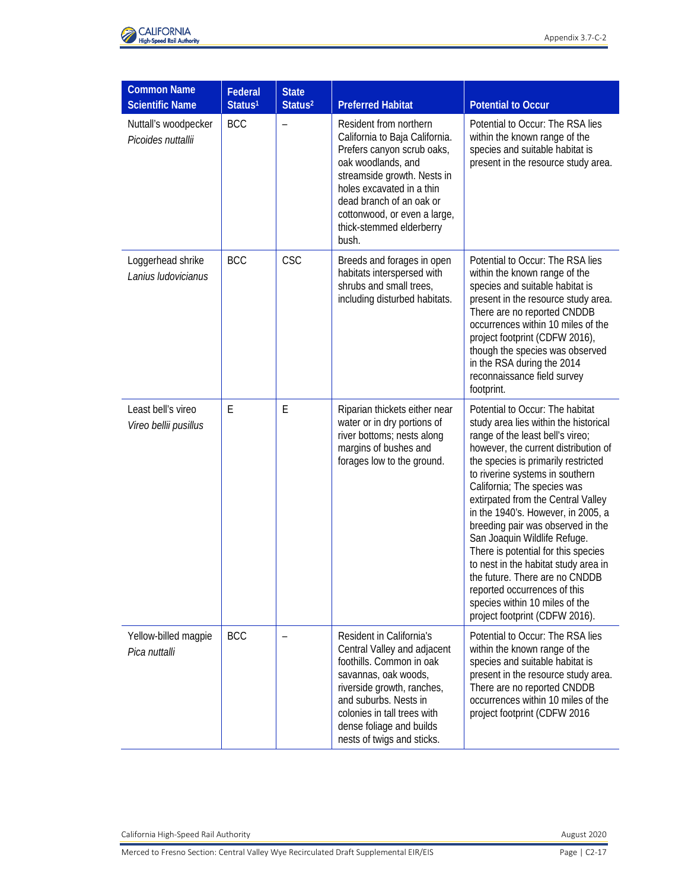

| <b>Common Name</b><br><b>Scientific Name</b> | Federal<br>Status <sup>1</sup> | <b>State</b><br>Status <sup>2</sup> | <b>Preferred Habitat</b>                                                                                                                                                                                                                                                  | <b>Potential to Occur</b>                                                                                                                                                                                                                                                                                                                                                                                                                                                                                                                                                                                                           |
|----------------------------------------------|--------------------------------|-------------------------------------|---------------------------------------------------------------------------------------------------------------------------------------------------------------------------------------------------------------------------------------------------------------------------|-------------------------------------------------------------------------------------------------------------------------------------------------------------------------------------------------------------------------------------------------------------------------------------------------------------------------------------------------------------------------------------------------------------------------------------------------------------------------------------------------------------------------------------------------------------------------------------------------------------------------------------|
| Nuttall's woodpecker<br>Picoides nuttallii   | <b>BCC</b>                     | $\overline{\phantom{0}}$            | Resident from northern<br>California to Baja California.<br>Prefers canyon scrub oaks,<br>oak woodlands, and<br>streamside growth. Nests in<br>holes excavated in a thin<br>dead branch of an oak or<br>cottonwood, or even a large,<br>thick-stemmed elderberry<br>bush. | Potential to Occur: The RSA lies<br>within the known range of the<br>species and suitable habitat is<br>present in the resource study area.                                                                                                                                                                                                                                                                                                                                                                                                                                                                                         |
| Loggerhead shrike<br>Lanius Iudovicianus     | <b>BCC</b>                     | <b>CSC</b>                          | Breeds and forages in open<br>habitats interspersed with<br>shrubs and small trees,<br>including disturbed habitats.                                                                                                                                                      | Potential to Occur: The RSA lies<br>within the known range of the<br>species and suitable habitat is<br>present in the resource study area.<br>There are no reported CNDDB<br>occurrences within 10 miles of the<br>project footprint (CDFW 2016),<br>though the species was observed<br>in the RSA during the 2014<br>reconnaissance field survey<br>footprint.                                                                                                                                                                                                                                                                    |
| Least bell's vireo<br>Vireo bellii pusillus  | E                              | E                                   | Riparian thickets either near<br>water or in dry portions of<br>river bottoms; nests along<br>margins of bushes and<br>forages low to the ground.                                                                                                                         | Potential to Occur: The habitat<br>study area lies within the historical<br>range of the least bell's vireo;<br>however, the current distribution of<br>the species is primarily restricted<br>to riverine systems in southern<br>California; The species was<br>extirpated from the Central Valley<br>in the 1940's. However, in 2005, a<br>breeding pair was observed in the<br>San Joaquin Wildlife Refuge.<br>There is potential for this species<br>to nest in the habitat study area in<br>the future. There are no CNDDB<br>reported occurrences of this<br>species within 10 miles of the<br>project footprint (CDFW 2016). |
| Yellow-billed magpie<br>Pica nuttalli        | <b>BCC</b>                     |                                     | Resident in California's<br>Central Valley and adjacent<br>foothills. Common in oak<br>savannas, oak woods,<br>riverside growth, ranches,<br>and suburbs. Nests in<br>colonies in tall trees with<br>dense foliage and builds<br>nests of twigs and sticks.               | Potential to Occur: The RSA lies<br>within the known range of the<br>species and suitable habitat is<br>present in the resource study area.<br>There are no reported CNDDB<br>occurrences within 10 miles of the<br>project footprint (CDFW 2016                                                                                                                                                                                                                                                                                                                                                                                    |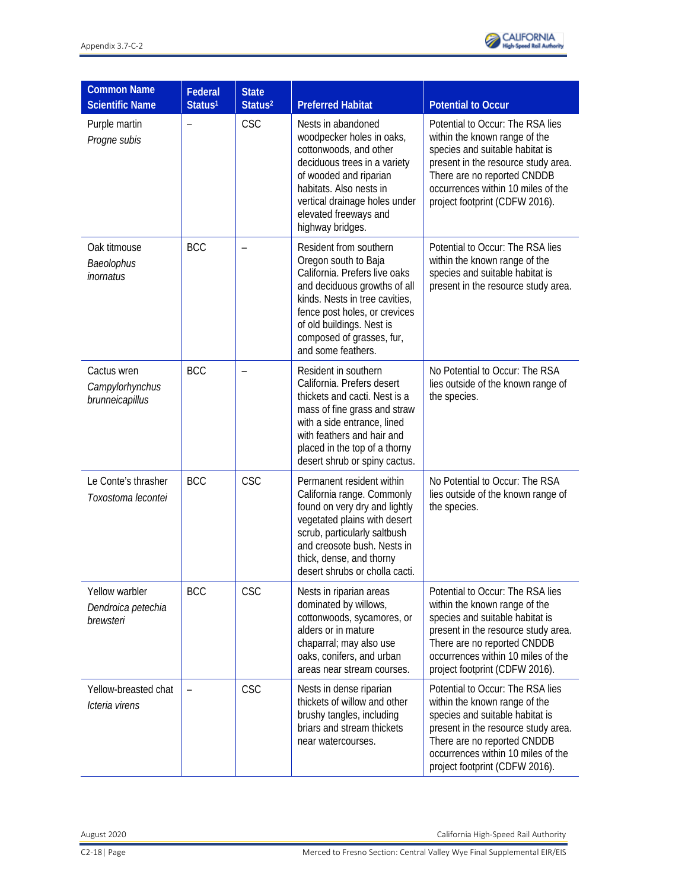

| <b>Common Name</b><br><b>Scientific Name</b>      | Federal<br>Status <sup>1</sup> | <b>State</b><br>Status <sup>2</sup> | <b>Preferred Habitat</b>                                                                                                                                                                                                                                           | <b>Potential to Occur</b>                                                                                                                                                                                                                          |
|---------------------------------------------------|--------------------------------|-------------------------------------|--------------------------------------------------------------------------------------------------------------------------------------------------------------------------------------------------------------------------------------------------------------------|----------------------------------------------------------------------------------------------------------------------------------------------------------------------------------------------------------------------------------------------------|
| Purple martin<br>Progne subis                     |                                | <b>CSC</b>                          | Nests in abandoned<br>woodpecker holes in oaks,<br>cottonwoods, and other<br>deciduous trees in a variety<br>of wooded and riparian<br>habitats. Also nests in<br>vertical drainage holes under<br>elevated freeways and<br>highway bridges.                       | Potential to Occur: The RSA lies<br>within the known range of the<br>species and suitable habitat is<br>present in the resource study area.<br>There are no reported CNDDB<br>occurrences within 10 miles of the<br>project footprint (CDFW 2016). |
| Oak titmouse<br>Baeolophus<br>inornatus           | <b>BCC</b>                     |                                     | Resident from southern<br>Oregon south to Baja<br>California. Prefers live oaks<br>and deciduous growths of all<br>kinds. Nests in tree cavities,<br>fence post holes, or crevices<br>of old buildings. Nest is<br>composed of grasses, fur,<br>and some feathers. | Potential to Occur: The RSA lies<br>within the known range of the<br>species and suitable habitat is<br>present in the resource study area.                                                                                                        |
| Cactus wren<br>Campylorhynchus<br>brunneicapillus | <b>BCC</b>                     |                                     | Resident in southern<br>California. Prefers desert<br>thickets and cacti. Nest is a<br>mass of fine grass and straw<br>with a side entrance, lined<br>with feathers and hair and<br>placed in the top of a thorny<br>desert shrub or spiny cactus.                 | No Potential to Occur: The RSA<br>lies outside of the known range of<br>the species.                                                                                                                                                               |
| Le Conte's thrasher<br>Toxostoma lecontei         | <b>BCC</b>                     | <b>CSC</b>                          | Permanent resident within<br>California range. Commonly<br>found on very dry and lightly<br>vegetated plains with desert<br>scrub, particularly saltbush<br>and creosote bush. Nests in<br>thick, dense, and thorny<br>desert shrubs or cholla cacti.              | No Potential to Occur: The RSA<br>lies outside of the known range of<br>the species.                                                                                                                                                               |
| Yellow warbler<br>Dendroica petechia<br>brewsteri | <b>BCC</b>                     | <b>CSC</b>                          | Nests in riparian areas<br>dominated by willows,<br>cottonwoods, sycamores, or<br>alders or in mature<br>chaparral; may also use<br>oaks, conifers, and urban<br>areas near stream courses.                                                                        | Potential to Occur: The RSA lies<br>within the known range of the<br>species and suitable habitat is<br>present in the resource study area.<br>There are no reported CNDDB<br>occurrences within 10 miles of the<br>project footprint (CDFW 2016). |
| Yellow-breasted chat<br>Icteria virens            |                                | <b>CSC</b>                          | Nests in dense riparian<br>thickets of willow and other<br>brushy tangles, including<br>briars and stream thickets<br>near watercourses.                                                                                                                           | Potential to Occur: The RSA lies<br>within the known range of the<br>species and suitable habitat is<br>present in the resource study area.<br>There are no reported CNDDB<br>occurrences within 10 miles of the<br>project footprint (CDFW 2016). |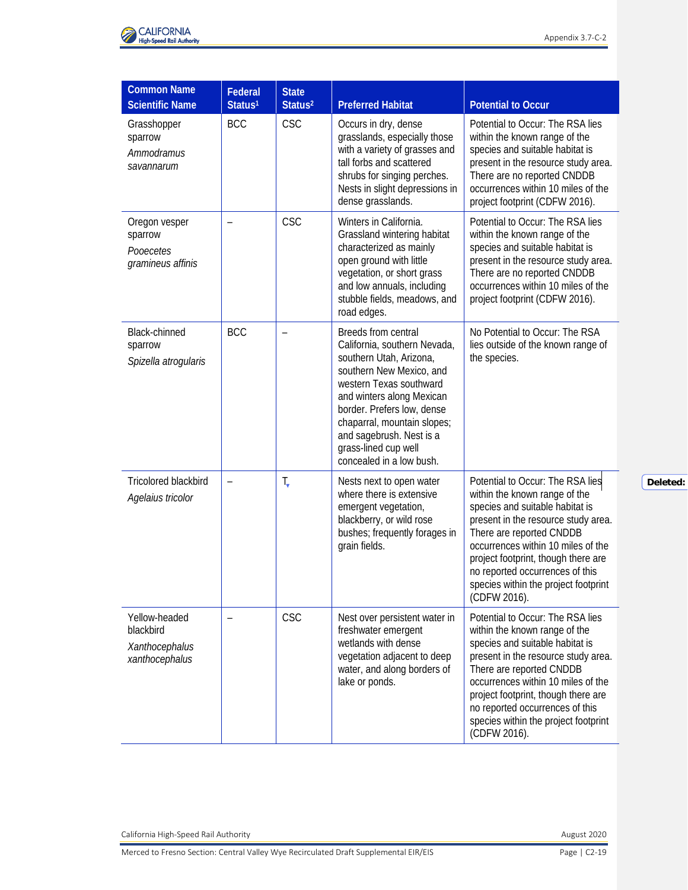

| <b>Common Name</b>                                             |                                |                                     |                                                                                                                                                                                                                                                                                                                 |                                                                                                                                                                                                                                                                                                                                                 |
|----------------------------------------------------------------|--------------------------------|-------------------------------------|-----------------------------------------------------------------------------------------------------------------------------------------------------------------------------------------------------------------------------------------------------------------------------------------------------------------|-------------------------------------------------------------------------------------------------------------------------------------------------------------------------------------------------------------------------------------------------------------------------------------------------------------------------------------------------|
| <b>Scientific Name</b>                                         | Federal<br>Status <sup>1</sup> | <b>State</b><br>Status <sup>2</sup> | <b>Preferred Habitat</b>                                                                                                                                                                                                                                                                                        | <b>Potential to Occur</b>                                                                                                                                                                                                                                                                                                                       |
| Grasshopper<br>sparrow<br>Ammodramus<br>savannarum             | <b>BCC</b>                     | <b>CSC</b>                          | Occurs in dry, dense<br>grasslands, especially those<br>with a variety of grasses and<br>tall forbs and scattered<br>shrubs for singing perches.<br>Nests in slight depressions in<br>dense grasslands.                                                                                                         | Potential to Occur: The RSA lies<br>within the known range of the<br>species and suitable habitat is<br>present in the resource study area.<br>There are no reported CNDDB<br>occurrences within 10 miles of the<br>project footprint (CDFW 2016).                                                                                              |
| Oregon vesper<br>sparrow<br>Pooecetes<br>gramineus affinis     |                                | <b>CSC</b>                          | Winters in California.<br>Grassland wintering habitat<br>characterized as mainly<br>open ground with little<br>vegetation, or short grass<br>and low annuals, including<br>stubble fields, meadows, and<br>road edges.                                                                                          | Potential to Occur: The RSA lies<br>within the known range of the<br>species and suitable habitat is<br>present in the resource study area.<br>There are no reported CNDDB<br>occurrences within 10 miles of the<br>project footprint (CDFW 2016).                                                                                              |
| Black-chinned<br>sparrow<br>Spizella atrogularis               | <b>BCC</b>                     | $\qquad \qquad -$                   | Breeds from central<br>California, southern Nevada,<br>southern Utah, Arizona,<br>southern New Mexico, and<br>western Texas southward<br>and winters along Mexican<br>border. Prefers low, dense<br>chaparral, mountain slopes;<br>and sagebrush. Nest is a<br>grass-lined cup well<br>concealed in a low bush. | No Potential to Occur: The RSA<br>lies outside of the known range of<br>the species.                                                                                                                                                                                                                                                            |
| Tricolored blackbird<br>Agelaius tricolor                      | $\qquad \qquad -$              | T,                                  | Nests next to open water<br>where there is extensive<br>emergent vegetation,<br>blackberry, or wild rose<br>bushes; frequently forages in<br>grain fields.                                                                                                                                                      | Potential to Occur: The RSA lies<br>within the known range of the<br>species and suitable habitat is<br>present in the resource study area.<br>There are reported CNDDB<br>occurrences within 10 miles of the<br>project footprint, though there are<br>no reported occurrences of this<br>species within the project footprint<br>(CDFW 2016). |
| Yellow-headed<br>blackbird<br>Xanthocephalus<br>xanthocephalus |                                | <b>CSC</b>                          | Nest over persistent water in<br>freshwater emergent<br>wetlands with dense<br>vegetation adjacent to deep<br>water, and along borders of<br>lake or ponds.                                                                                                                                                     | Potential to Occur: The RSA lies<br>within the known range of the<br>species and suitable habitat is<br>present in the resource study area.<br>There are reported CNDDB<br>occurrences within 10 miles of the<br>project footprint, though there are<br>no reported occurrences of this<br>species within the project footprint<br>(CDFW 2016). |

Merced to Fresno Section: Central Valley Wye Recirculated Draft Supplemental EIR/EIS Page | C2-19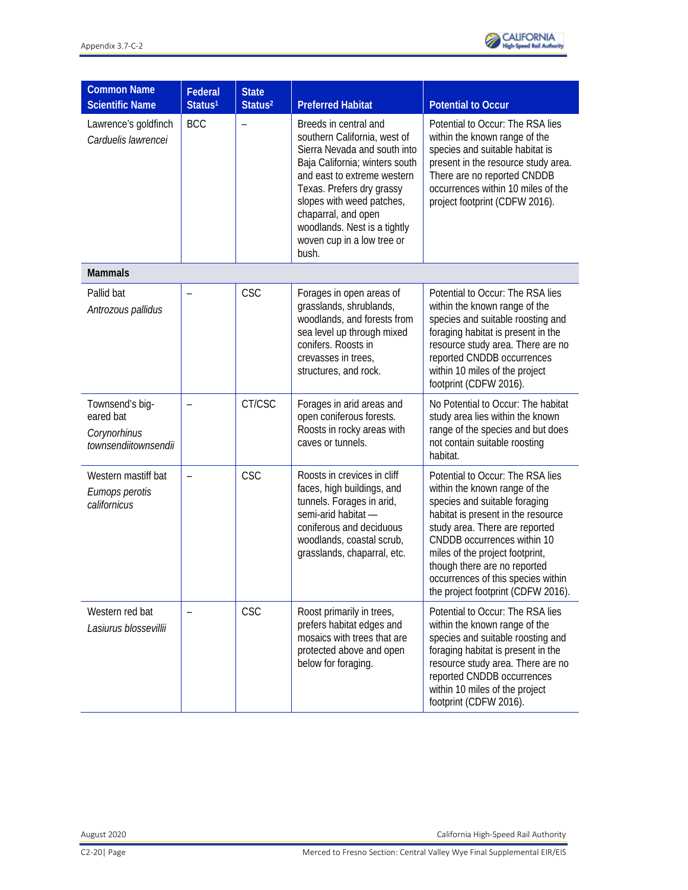

| <b>Common Name</b><br><b>Scientific Name</b>                         | Federal<br>Status <sup>1</sup> | <b>State</b><br>Status <sup>2</sup> | <b>Preferred Habitat</b>                                                                                                                                                                                                                                                                                       | <b>Potential to Occur</b>                                                                                                                                                                                                                                                                                                                                |
|----------------------------------------------------------------------|--------------------------------|-------------------------------------|----------------------------------------------------------------------------------------------------------------------------------------------------------------------------------------------------------------------------------------------------------------------------------------------------------------|----------------------------------------------------------------------------------------------------------------------------------------------------------------------------------------------------------------------------------------------------------------------------------------------------------------------------------------------------------|
| Lawrence's goldfinch<br>Carduelis lawrencei                          | <b>BCC</b>                     |                                     | Breeds in central and<br>southern California, west of<br>Sierra Nevada and south into<br>Baja California; winters south<br>and east to extreme western<br>Texas. Prefers dry grassy<br>slopes with weed patches,<br>chaparral, and open<br>woodlands. Nest is a tightly<br>woven cup in a low tree or<br>bush. | Potential to Occur: The RSA lies<br>within the known range of the<br>species and suitable habitat is<br>present in the resource study area.<br>There are no reported CNDDB<br>occurrences within 10 miles of the<br>project footprint (CDFW 2016).                                                                                                       |
| <b>Mammals</b>                                                       |                                |                                     |                                                                                                                                                                                                                                                                                                                |                                                                                                                                                                                                                                                                                                                                                          |
| Pallid bat<br>Antrozous pallidus                                     |                                | <b>CSC</b>                          | Forages in open areas of<br>grasslands, shrublands,<br>woodlands, and forests from<br>sea level up through mixed<br>conifers. Roosts in<br>crevasses in trees,<br>structures, and rock.                                                                                                                        | Potential to Occur: The RSA lies<br>within the known range of the<br>species and suitable roosting and<br>foraging habitat is present in the<br>resource study area. There are no<br>reported CNDDB occurrences<br>within 10 miles of the project<br>footprint (CDFW 2016).                                                                              |
| Townsend's big-<br>eared bat<br>Corynorhinus<br>townsendiitownsendii |                                | CT/CSC                              | Forages in arid areas and<br>open coniferous forests.<br>Roosts in rocky areas with<br>caves or tunnels.                                                                                                                                                                                                       | No Potential to Occur: The habitat<br>study area lies within the known<br>range of the species and but does<br>not contain suitable roosting<br>habitat.                                                                                                                                                                                                 |
| Western mastiff bat<br>Eumops perotis<br>californicus                |                                | <b>CSC</b>                          | Roosts in crevices in cliff<br>faces, high buildings, and<br>tunnels. Forages in arid,<br>semi-arid habitat -<br>coniferous and deciduous<br>woodlands, coastal scrub,<br>grasslands, chaparral, etc.                                                                                                          | Potential to Occur: The RSA lies<br>within the known range of the<br>species and suitable foraging<br>habitat is present in the resource<br>study area. There are reported<br>CNDDB occurrences within 10<br>miles of the project footprint,<br>though there are no reported<br>occurrences of this species within<br>the project footprint (CDFW 2016). |
| Western red bat<br>Lasiurus blossevillii                             |                                | CSC                                 | Roost primarily in trees,<br>prefers habitat edges and<br>mosaics with trees that are<br>protected above and open<br>below for foraging.                                                                                                                                                                       | Potential to Occur: The RSA lies<br>within the known range of the<br>species and suitable roosting and<br>foraging habitat is present in the<br>resource study area. There are no<br>reported CNDDB occurrences<br>within 10 miles of the project<br>footprint (CDFW 2016).                                                                              |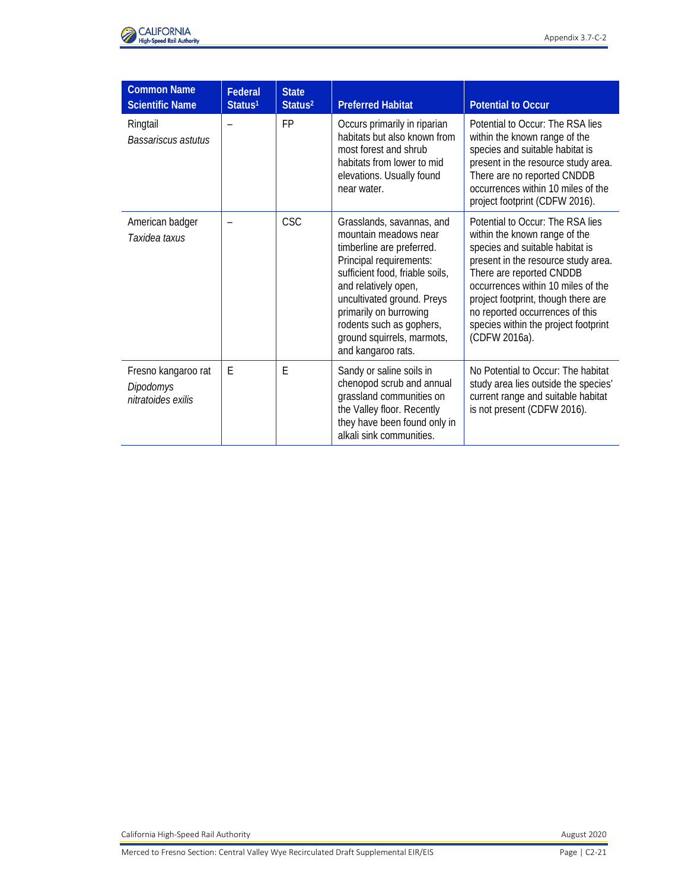

| <b>Common Name</b><br><b>Scientific Name</b>           | Federal<br>Status <sup>1</sup> | <b>State</b><br>Status <sup>2</sup> | <b>Preferred Habitat</b>                                                                                                                                                                                                                                                                                      | <b>Potential to Occur</b>                                                                                                                                                                                                                                                                                                                        |
|--------------------------------------------------------|--------------------------------|-------------------------------------|---------------------------------------------------------------------------------------------------------------------------------------------------------------------------------------------------------------------------------------------------------------------------------------------------------------|--------------------------------------------------------------------------------------------------------------------------------------------------------------------------------------------------------------------------------------------------------------------------------------------------------------------------------------------------|
| Ringtail<br>Bassariscus astutus                        |                                | <b>FP</b>                           | Occurs primarily in riparian<br>habitats but also known from<br>most forest and shrub<br>habitats from lower to mid<br>elevations. Usually found<br>near water.                                                                                                                                               | Potential to Occur: The RSA lies<br>within the known range of the<br>species and suitable habitat is<br>present in the resource study area.<br>There are no reported CNDDB<br>occurrences within 10 miles of the<br>project footprint (CDFW 2016).                                                                                               |
| American badger<br>Taxidea taxus                       |                                | <b>CSC</b>                          | Grasslands, savannas, and<br>mountain meadows near<br>timberline are preferred.<br>Principal requirements:<br>sufficient food, friable soils,<br>and relatively open,<br>uncultivated ground. Preys<br>primarily on burrowing<br>rodents such as gophers,<br>ground squirrels, marmots,<br>and kangaroo rats. | Potential to Occur: The RSA lies<br>within the known range of the<br>species and suitable habitat is<br>present in the resource study area.<br>There are reported CNDDB<br>occurrences within 10 miles of the<br>project footprint, though there are<br>no reported occurrences of this<br>species within the project footprint<br>(CDFW 2016a). |
| Fresno kangaroo rat<br>Dipodomys<br>nitratoides exilis | E                              | F                                   | Sandy or saline soils in<br>chenopod scrub and annual<br>grassland communities on<br>the Valley floor. Recently<br>they have been found only in<br>alkali sink communities.                                                                                                                                   | No Potential to Occur: The habitat<br>study area lies outside the species'<br>current range and suitable habitat<br>is not present (CDFW 2016).                                                                                                                                                                                                  |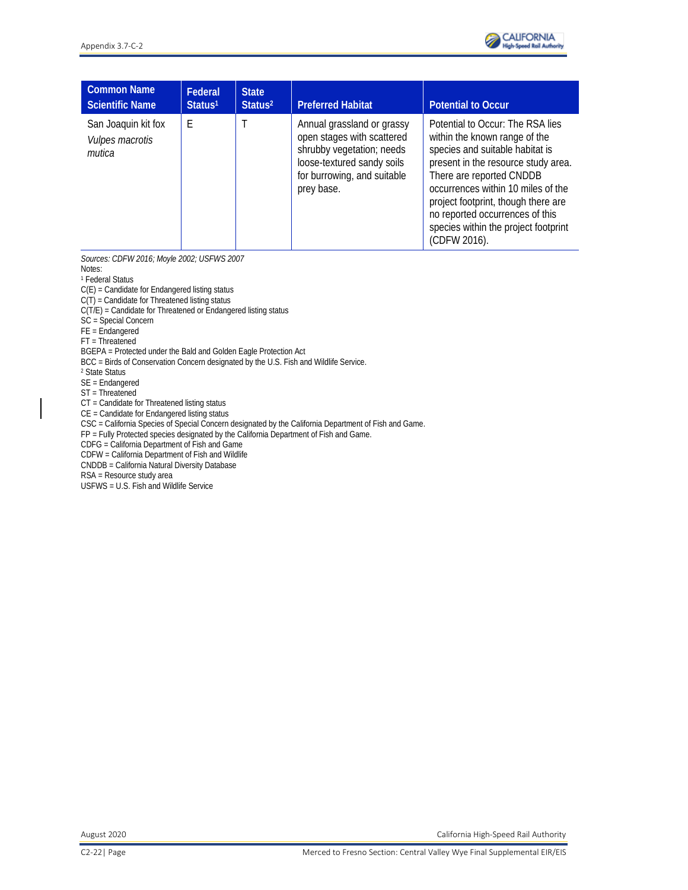

| <b>Common Name</b><br><b>Scientific Name</b>     | <b>Federal</b><br>Status <sup>1</sup> | <b>State</b><br>Status <sup>2</sup> | <b>Preferred Habitat</b>                                                                                                                                         | <b>Potential to Occur</b>                                                                                                                                                                                                                                                                                                                       |
|--------------------------------------------------|---------------------------------------|-------------------------------------|------------------------------------------------------------------------------------------------------------------------------------------------------------------|-------------------------------------------------------------------------------------------------------------------------------------------------------------------------------------------------------------------------------------------------------------------------------------------------------------------------------------------------|
| San Joaquin kit fox<br>Vulpes macrotis<br>mutica | E                                     |                                     | Annual grassland or grassy<br>open stages with scattered<br>shrubby vegetation; needs<br>loose-textured sandy soils<br>for burrowing, and suitable<br>prey base. | Potential to Occur: The RSA lies<br>within the known range of the<br>species and suitable habitat is<br>present in the resource study area.<br>There are reported CNDDB<br>occurrences within 10 miles of the<br>project footprint, though there are<br>no reported occurrences of this<br>species within the project footprint<br>(CDFW 2016). |

*Sources: CDFW 2016; Moyle 2002; USFWS 2007*

Notes:

<sup>1</sup> Federal Status C(E) = Candidate for Endangered listing status

C(T) = Candidate for Threatened listing status

 $C(T/E)$  = Candidate for Threatened or Endangered listing status

SC = Special Concern

FE = Endangered

FT = Threatened

BGEPA = Protected under the Bald and Golden Eagle Protection Act

BCC = Birds of Conservation Concern designated by the U.S. Fish and Wildlife Service.

<sup>2</sup> State Status

SE = Endangered

ST = Threatened

CT = Candidate for Threatened listing status

CE = Candidate for Endangered listing status

CSC = California Species of Special Concern designated by the California Department of Fish and Game.

FP = Fully Protected species designated by the California Department of Fish and Game.

CDFG = California Department of Fish and Game

CDFW = California Department of Fish and Wildlife

CNDDB = California Natural Diversity Database

RSA = Resource study area

USFWS = U.S. Fish and Wildlife Service